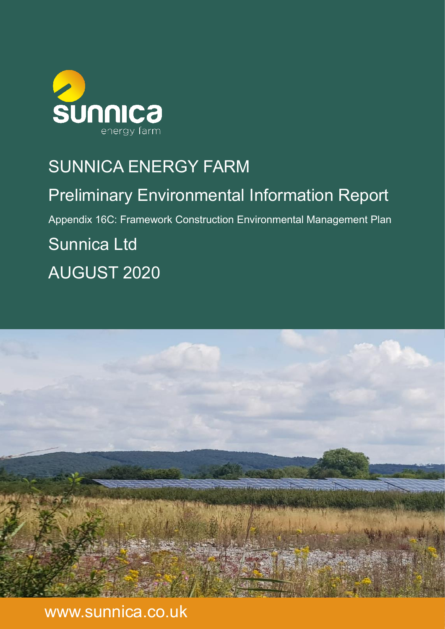

## SUNNICA ENERGY FARM

Preliminary Environmental Information Report Appendix 16C: Framework Construction Environmental Management Plan Sunnica Ltd AUGUST 2020



www.sunnica.co.uk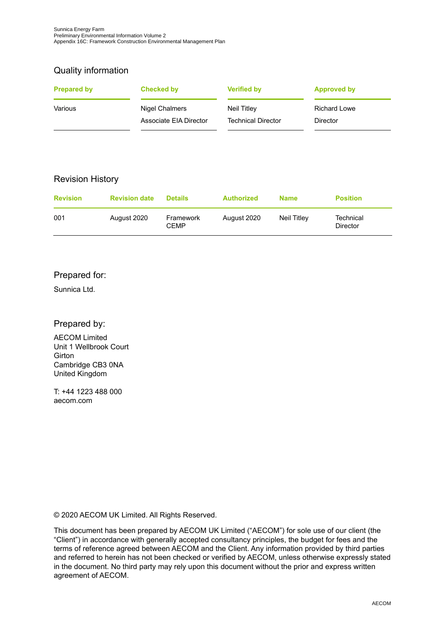## Quality information

| <b>Prepared by</b> | Checked by             | <b>Verified by</b>        | <b>Approved by</b>  |
|--------------------|------------------------|---------------------------|---------------------|
| Various            | Nigel Chalmers         | Neil Titley               | <b>Richard Lowe</b> |
|                    | Associate FIA Director | <b>Technical Director</b> | <b>Director</b>     |

## Revision History

| <b>Revision</b> | <b>Revision date</b> | <b>Details</b>           | <b>Authorized</b> | <b>Name</b> | <b>Position</b>              |
|-----------------|----------------------|--------------------------|-------------------|-------------|------------------------------|
| 001             | August 2020          | Framework<br><b>CFMP</b> | August 2020       | Neil Titlev | Technical<br><b>Director</b> |

## Prepared for:

Sunnica Ltd.

## Prepared by:

AECOM Limited Unit 1 Wellbrook Court **Girton** Cambridge CB3 0NA United Kingdom

T: +44 1223 488 000 aecom.com

© 2020 AECOM UK Limited. All Rights Reserved.

This document has been prepared by AECOM UK Limited ("AECOM") for sole use of our client (the "Client") in accordance with generally accepted consultancy principles, the budget for fees and the terms of reference agreed between AECOM and the Client. Any information provided by third parties and referred to herein has not been checked or verified by AECOM, unless otherwise expressly stated in the document. No third party may rely upon this document without the prior and express written agreement of AECOM.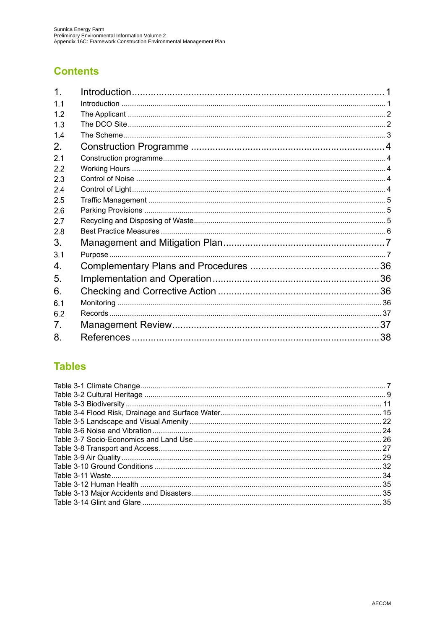## **Contents**

| 1 <sub>1</sub> |  |
|----------------|--|
| 1.1            |  |
| 12             |  |
| 1.3            |  |
| 1.4            |  |
| 2.             |  |
| 2.1            |  |
| 2.2            |  |
| 2.3            |  |
| 2.4            |  |
| 2.5            |  |
| 2.6            |  |
| 2.7            |  |
| 2.8            |  |
| 3.             |  |
| 3.1            |  |
| 4.             |  |
| 5.             |  |
| 6.             |  |
| 6.1            |  |
| 6.2            |  |
| 7.             |  |
| 8.             |  |

## **Tables**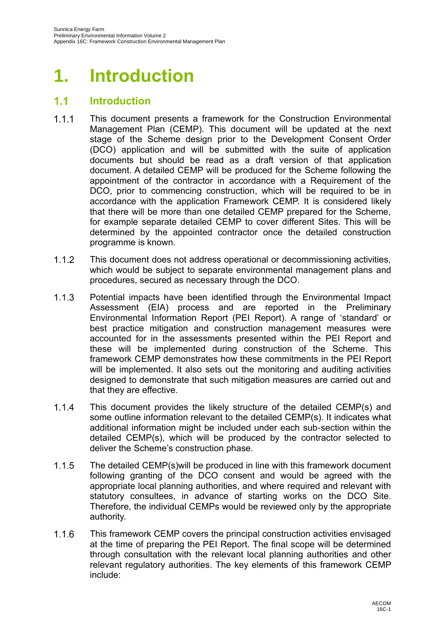# **1. Introduction**

#### $1.1<sub>1</sub>$ **Introduction**

- $1.1.1$ This document presents a framework for the Construction Environmental Management Plan (CEMP). This document will be updated at the next stage of the Scheme design prior to the Development Consent Order (DCO) application and will be submitted with the suite of application documents but should be read as a draft version of that application document. A detailed CEMP will be produced for the Scheme following the appointment of the contractor in accordance with a Requirement of the DCO, prior to commencing construction, which will be required to be in accordance with the application Framework CEMP. It is considered likely that there will be more than one detailed CEMP prepared for the Scheme, for example separate detailed CEMP to cover different Sites. This will be determined by the appointed contractor once the detailed construction programme is known.
- $1.1.2$ This document does not address operational or decommissioning activities, which would be subject to separate environmental management plans and procedures, secured as necessary through the DCO.
- $1.1.3$ Potential impacts have been identified through the Environmental Impact Assessment (EIA) process and are reported in the Preliminary Environmental Information Report (PEI Report). A range of 'standard' or best practice mitigation and construction management measures were accounted for in the assessments presented within the PEI Report and these will be implemented during construction of the Scheme. This framework CEMP demonstrates how these commitments in the PEI Report will be implemented. It also sets out the monitoring and auditing activities designed to demonstrate that such mitigation measures are carried out and that they are effective.
- $1.1.4$ This document provides the likely structure of the detailed CEMP(s) and some outline information relevant to the detailed CEMP(s). It indicates what additional information might be included under each sub-section within the detailed CEMP(s), which will be produced by the contractor selected to deliver the Scheme's construction phase.
- $1.1.5$ The detailed CEMP(s)will be produced in line with this framework document following granting of the DCO consent and would be agreed with the appropriate local planning authorities, and where required and relevant with statutory consultees, in advance of starting works on the DCO Site. Therefore, the individual CEMPs would be reviewed only by the appropriate authority.
- $1.1.6$ This framework CEMP covers the principal construction activities envisaged at the time of preparing the PEI Report. The final scope will be determined through consultation with the relevant local planning authorities and other relevant regulatory authorities. The key elements of this framework CEMP include: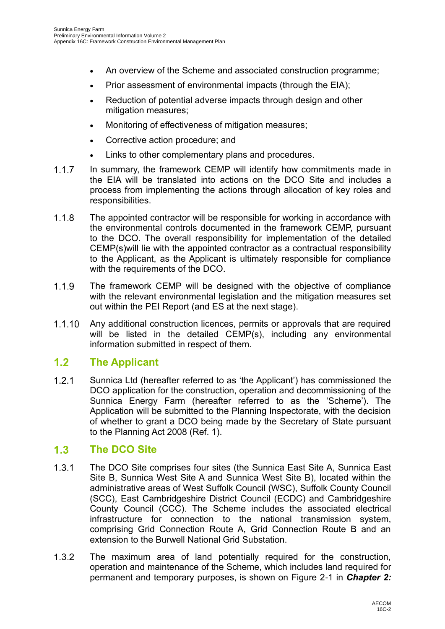- An overview of the Scheme and associated construction programme;
- Prior assessment of environmental impacts (through the EIA);
- Reduction of potential adverse impacts through design and other mitigation measures;
- Monitoring of effectiveness of mitigation measures;
- Corrective action procedure; and
- Links to other complementary plans and procedures.
- $1.1.7$ In summary, the framework CEMP will identify how commitments made in the EIA will be translated into actions on the DCO Site and includes a process from implementing the actions through allocation of key roles and responsibilities.
- $1.1.8$ The appointed contractor will be responsible for working in accordance with the environmental controls documented in the framework CEMP, pursuant to the DCO. The overall responsibility for implementation of the detailed CEMP(s)will lie with the appointed contractor as a contractual responsibility to the Applicant, as the Applicant is ultimately responsible for compliance with the requirements of the DCO.
- The framework CEMP will be designed with the objective of compliance  $1.1.9$ with the relevant environmental legislation and the mitigation measures set out within the PEI Report (and ES at the next stage).
- Any additional construction licences, permits or approvals that are required  $1.1.10$ will be listed in the detailed CEMP(s), including any environmental information submitted in respect of them.

#### $1.2<sub>1</sub>$ **The Applicant**

 $1.2.1$ Sunnica Ltd (hereafter referred to as 'the Applicant') has commissioned the DCO application for the construction, operation and decommissioning of the Sunnica Energy Farm (hereafter referred to as the 'Scheme'). The Application will be submitted to the Planning Inspectorate, with the decision of whether to grant a DCO being made by the Secretary of State pursuant to the Planning Act 2008 [\(Ref. 1\)](#page-40-0).

#### $1.3$ **The DCO Site**

- $1.3.1$ The DCO Site comprises four sites (the Sunnica East Site A, Sunnica East Site B, Sunnica West Site A and Sunnica West Site B), located within the administrative areas of West Suffolk Council (WSC), Suffolk County Council (SCC), East Cambridgeshire District Council (ECDC) and Cambridgeshire County Council (CCC). The Scheme includes the associated electrical infrastructure for connection to the national transmission system, comprising Grid Connection Route A, Grid Connection Route B and an extension to the Burwell National Grid Substation.
- $1.3.2$ The maximum area of land potentially required for the construction, operation and maintenance of the Scheme, which includes land required for permanent and temporary purposes, is shown on Figure 2-1 in *Chapter 2:*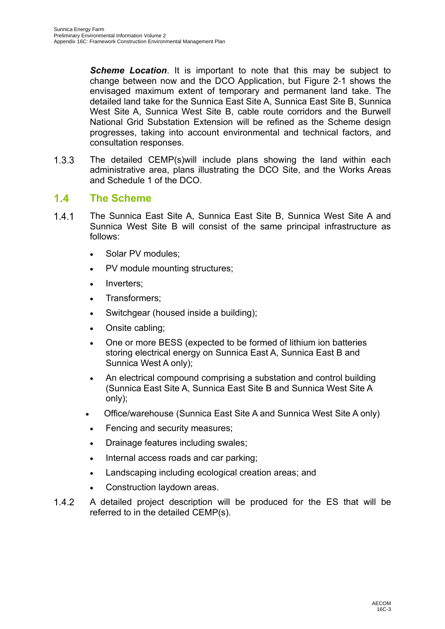*Scheme Location*. It is important to note that this may be subject to change between now and the DCO Application, but Figure 2-1 shows the envisaged maximum extent of temporary and permanent land take. The detailed land take for the Sunnica East Site A, Sunnica East Site B, Sunnica West Site A, Sunnica West Site B, cable route corridors and the Burwell National Grid Substation Extension will be refined as the Scheme design progresses, taking into account environmental and technical factors, and consultation responses.

 $1.3.3$ The detailed CEMP(s)will include plans showing the land within each administrative area, plans illustrating the DCO Site, and the Works Areas and Schedule 1 of the DCO.

#### $1.4$ **The Scheme**

- $1.4.1$ The Sunnica East Site A, Sunnica East Site B, Sunnica West Site A and Sunnica West Site B will consist of the same principal infrastructure as follows:
	- Solar PV modules;
	- PV module mounting structures;
	- Inverters:
	- Transformers;
	- Switchgear (housed inside a building);
	- Onsite cabling;
	- One or more BESS (expected to be formed of lithium ion batteries storing electrical energy on Sunnica East A, Sunnica East B and Sunnica West A only);
	- An electrical compound comprising a substation and control building (Sunnica East Site A, Sunnica East Site B and Sunnica West Site A only);
	- Office/warehouse (Sunnica East Site A and Sunnica West Site A only)
	- Fencing and security measures;
	- Drainage features including swales;
	- Internal access roads and car parking;
	- Landscaping including ecological creation areas; and
	- Construction laydown areas.
- $1.4.2$ A detailed project description will be produced for the ES that will be referred to in the detailed CEMP(s).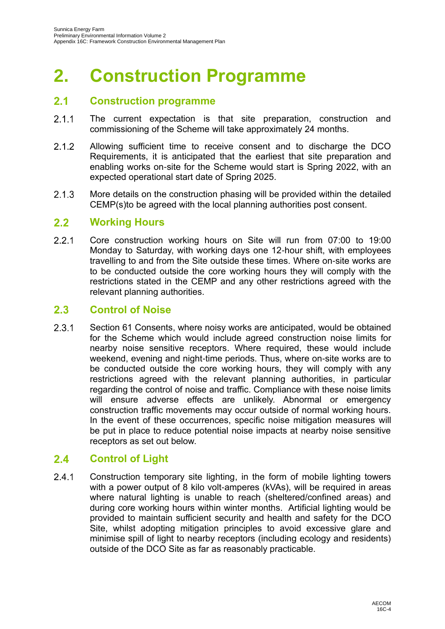# <span id="page-6-0"></span>**2. Construction Programme**

#### $2.1$ **Construction programme**

- $2.1.1$ The current expectation is that site preparation, construction and commissioning of the Scheme will take approximately 24 months.
- $2.1.2$ Allowing sufficient time to receive consent and to discharge the DCO Requirements, it is anticipated that the earliest that site preparation and enabling works on-site for the Scheme would start is Spring 2022, with an expected operational start date of Spring 2025.
- $2.1.3$ More details on the construction phasing will be provided within the detailed CEMP(s)to be agreed with the local planning authorities post consent.

#### $2.2$ **Working Hours**

 $2.2.1$ Core construction working hours on Site will run from 07:00 to 19:00 Monday to Saturday, with working days one 12-hour shift, with employees travelling to and from the Site outside these times. Where on-site works are to be conducted outside the core working hours they will comply with the restrictions stated in the CEMP and any other restrictions agreed with the relevant planning authorities.

#### $2.3$ **Control of Noise**

 $2.3.1$ Section 61 Consents, where noisy works are anticipated, would be obtained for the Scheme which would include agreed construction noise limits for nearby noise sensitive receptors. Where required, these would include weekend, evening and night-time periods. Thus, where on-site works are to be conducted outside the core working hours, they will comply with any restrictions agreed with the relevant planning authorities, in particular regarding the control of noise and traffic. Compliance with these noise limits will ensure adverse effects are unlikely. Abnormal or emergency construction traffic movements may occur outside of normal working hours. In the event of these occurrences, specific noise mitigation measures will be put in place to reduce potential noise impacts at nearby noise sensitive receptors as set out below.

#### $2.4$ **Control of Light**

 $2.4.1$ Construction temporary site lighting, in the form of mobile lighting towers with a power output of 8 kilo volt-amperes (kVAs), will be required in areas where natural lighting is unable to reach (sheltered/confined areas) and during core working hours within winter months. Artificial lighting would be provided to maintain sufficient security and health and safety for the DCO Site, whilst adopting mitigation principles to avoid excessive glare and minimise spill of light to nearby receptors (including ecology and residents) outside of the DCO Site as far as reasonably practicable.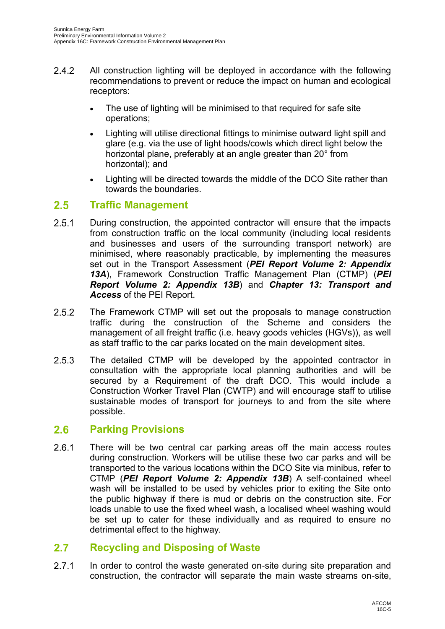- $2.4.2$ All construction lighting will be deployed in accordance with the following recommendations to prevent or reduce the impact on human and ecological receptors:
	- The use of lighting will be minimised to that required for safe site operations;
	- Lighting will utilise directional fittings to minimise outward light spill and glare (e.g. via the use of light hoods/cowls which direct light below the horizontal plane, preferably at an angle greater than 20° from horizontal); and
	- Lighting will be directed towards the middle of the DCO Site rather than towards the boundaries.

#### $2.5$ **Traffic Management**

- $2.5.1$ During construction, the appointed contractor will ensure that the impacts from construction traffic on the local community (including local residents and businesses and users of the surrounding transport network) are minimised, where reasonably practicable, by implementing the measures set out in the Transport Assessment (*PEI Report Volume 2: Appendix 13A*), Framework Construction Traffic Management Plan (CTMP) (*PEI Report Volume 2: Appendix 13B*) and *Chapter 13: Transport and Access* of the PEI Report.
- $2.5.2$ The Framework CTMP will set out the proposals to manage construction traffic during the construction of the Scheme and considers the management of all freight traffic (i.e. heavy goods vehicles (HGVs)), as well as staff traffic to the car parks located on the main development sites.
- $2.5.3$ The detailed CTMP will be developed by the appointed contractor in consultation with the appropriate local planning authorities and will be secured by a Requirement of the draft DCO. This would include a Construction Worker Travel Plan (CWTP) and will encourage staff to utilise sustainable modes of transport for journeys to and from the site where possible.

#### $2.6$ **Parking Provisions**

 $2.6.1$ There will be two central car parking areas off the main access routes during construction. Workers will be utilise these two car parks and will be transported to the various locations within the DCO Site via minibus, refer to CTMP (*PEI Report Volume 2: Appendix 13B*) A self-contained wheel wash will be installed to be used by vehicles prior to exiting the Site onto the public highway if there is mud or debris on the construction site. For loads unable to use the fixed wheel wash, a localised wheel washing would be set up to cater for these individually and as required to ensure no detrimental effect to the highway.

#### $2.7$ **Recycling and Disposing of Waste**

 $2.7.1$ In order to control the waste generated on-site during site preparation and construction, the contractor will separate the main waste streams on-site,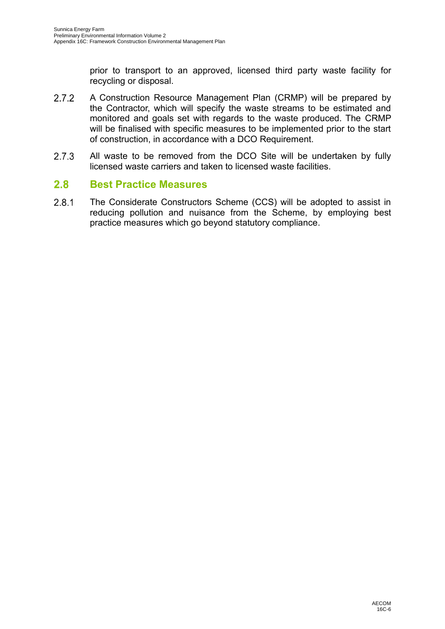prior to transport to an approved, licensed third party waste facility for recycling or disposal.

- $2.7.2$ A Construction Resource Management Plan (CRMP) will be prepared by the Contractor, which will specify the waste streams to be estimated and monitored and goals set with regards to the waste produced. The CRMP will be finalised with specific measures to be implemented prior to the start of construction, in accordance with a DCO Requirement.
- $2.7.3$ All waste to be removed from the DCO Site will be undertaken by fully licensed waste carriers and taken to licensed waste facilities.

#### $2.8$ **Best Practice Measures**

 $2.8.1$ The Considerate Constructors Scheme (CCS) will be adopted to assist in reducing pollution and nuisance from the Scheme, by employing best practice measures which go beyond statutory compliance.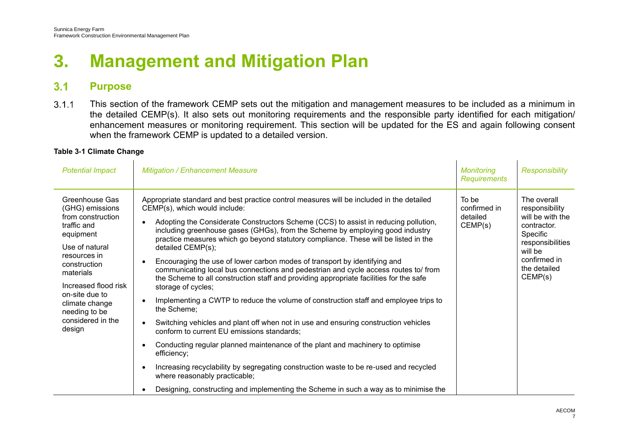## **3. Management and Mitigation Plan**

#### $3.1$ **Purpose**

 $3.1.1$ This section of the framework CEMP sets out the mitigation and management measures to be included as a minimum in the detailed CEMP(s). It also sets out monitoring requirements and the responsible party identified for each mitigation/ enhancement measures or monitoring requirement. This section will be updated for the ES and again following consent when the framework CEMP is updated to a detailed version.

### **Table 3-1 Climate Change**

| <b>Potential Impact</b>                                                                                                                                                                                                                                       | <b>Mitigation / Enhancement Measure</b>                                                                                                                                                                                                                                                                                                                                                                                                                                                                                                                                                                                                                                                                                                                                                                                                                                                                                                                                                                                                                                                                                                                                                                                                                                                                                          | <b>Monitoring</b><br><b>Requirements</b>     | <b>Responsibility</b>                                                                                                                                  |
|---------------------------------------------------------------------------------------------------------------------------------------------------------------------------------------------------------------------------------------------------------------|----------------------------------------------------------------------------------------------------------------------------------------------------------------------------------------------------------------------------------------------------------------------------------------------------------------------------------------------------------------------------------------------------------------------------------------------------------------------------------------------------------------------------------------------------------------------------------------------------------------------------------------------------------------------------------------------------------------------------------------------------------------------------------------------------------------------------------------------------------------------------------------------------------------------------------------------------------------------------------------------------------------------------------------------------------------------------------------------------------------------------------------------------------------------------------------------------------------------------------------------------------------------------------------------------------------------------------|----------------------------------------------|--------------------------------------------------------------------------------------------------------------------------------------------------------|
| Greenhouse Gas<br>(GHG) emissions<br>from construction<br>traffic and<br>equipment<br>Use of natural<br>resources in<br>construction<br>materials<br>Increased flood risk<br>on-site due to<br>climate change<br>needing to be<br>considered in the<br>design | Appropriate standard and best practice control measures will be included in the detailed<br>CEMP(s), which would include:<br>Adopting the Considerate Constructors Scheme (CCS) to assist in reducing pollution,<br>including greenhouse gases (GHGs), from the Scheme by employing good industry<br>practice measures which go beyond statutory compliance. These will be listed in the<br>detailed CEMP(s);<br>Encouraging the use of lower carbon modes of transport by identifying and<br>$\bullet$<br>communicating local bus connections and pedestrian and cycle access routes to/ from<br>the Scheme to all construction staff and providing appropriate facilities for the safe<br>storage of cycles;<br>Implementing a CWTP to reduce the volume of construction staff and employee trips to<br>$\bullet$<br>the Scheme;<br>Switching vehicles and plant off when not in use and ensuring construction vehicles<br>$\bullet$<br>conform to current EU emissions standards;<br>Conducting regular planned maintenance of the plant and machinery to optimise<br>$\bullet$<br>efficiency;<br>Increasing recyclability by segregating construction waste to be re-used and recycled<br>$\bullet$<br>where reasonably practicable;<br>Designing, constructing and implementing the Scheme in such a way as to minimise the | To be<br>confirmed in<br>detailed<br>CEMP(s) | The overall<br>responsibility<br>will be with the<br>contractor.<br>Specific<br>responsibilities<br>will be<br>confirmed in<br>the detailed<br>CEMP(s) |
|                                                                                                                                                                                                                                                               |                                                                                                                                                                                                                                                                                                                                                                                                                                                                                                                                                                                                                                                                                                                                                                                                                                                                                                                                                                                                                                                                                                                                                                                                                                                                                                                                  |                                              |                                                                                                                                                        |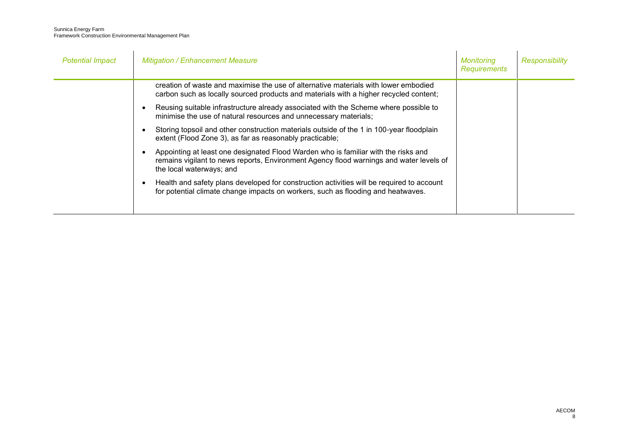| <b>Potential Impact</b> | <b>Mitigation / Enhancement Measure</b>                                                                                                                                                                   | <b>Monitoring</b><br><b>Requirements</b> | <b>Responsibility</b> |
|-------------------------|-----------------------------------------------------------------------------------------------------------------------------------------------------------------------------------------------------------|------------------------------------------|-----------------------|
|                         | creation of waste and maximise the use of alternative materials with lower embodied<br>carbon such as locally sourced products and materials with a higher recycled content;                              |                                          |                       |
|                         | Reusing suitable infrastructure already associated with the Scheme where possible to<br>minimise the use of natural resources and unnecessary materials;                                                  |                                          |                       |
|                         | Storing topsoil and other construction materials outside of the 1 in 100-year floodplain<br>extent (Flood Zone 3), as far as reasonably practicable;                                                      |                                          |                       |
|                         | Appointing at least one designated Flood Warden who is familiar with the risks and<br>remains vigilant to news reports, Environment Agency flood warnings and water levels of<br>the local waterways; and |                                          |                       |
|                         | Health and safety plans developed for construction activities will be required to account<br>for potential climate change impacts on workers, such as flooding and heatwaves.                             |                                          |                       |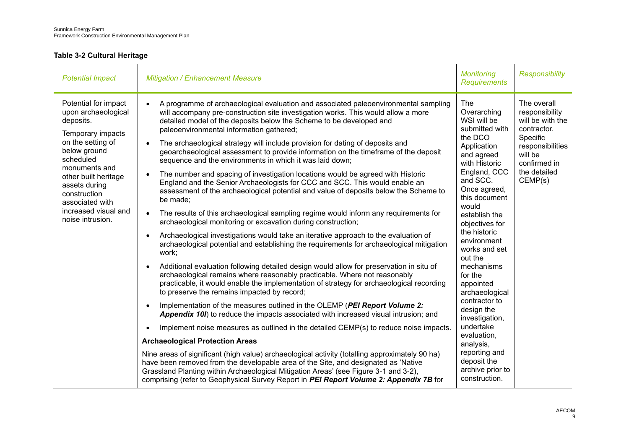## **Table 3-2 Cultural Heritage**

| <b>Potential Impact</b>                                                                                                                                                                                                                                                  | <b>Mitigation / Enhancement Measure</b>                                                                                                                                                                                                                                                                                                                                                                                                                                                                                                                                                                                                                                                                                                                                                                                                                                                                                                                                                                                                                                                                                                                                                                                                                                                                                                                                                                                                                                                                                                                                                                                                                                                                                                                                                                                                                                                                                                                                                                                                                                                                                                                                     | <b>Monitoring</b><br><b>Requirements</b>                                                                                                                                                                                                                                                                                                                                                                                                                                                                | <b>Responsibility</b>                                                                                                                                  |
|--------------------------------------------------------------------------------------------------------------------------------------------------------------------------------------------------------------------------------------------------------------------------|-----------------------------------------------------------------------------------------------------------------------------------------------------------------------------------------------------------------------------------------------------------------------------------------------------------------------------------------------------------------------------------------------------------------------------------------------------------------------------------------------------------------------------------------------------------------------------------------------------------------------------------------------------------------------------------------------------------------------------------------------------------------------------------------------------------------------------------------------------------------------------------------------------------------------------------------------------------------------------------------------------------------------------------------------------------------------------------------------------------------------------------------------------------------------------------------------------------------------------------------------------------------------------------------------------------------------------------------------------------------------------------------------------------------------------------------------------------------------------------------------------------------------------------------------------------------------------------------------------------------------------------------------------------------------------------------------------------------------------------------------------------------------------------------------------------------------------------------------------------------------------------------------------------------------------------------------------------------------------------------------------------------------------------------------------------------------------------------------------------------------------------------------------------------------------|---------------------------------------------------------------------------------------------------------------------------------------------------------------------------------------------------------------------------------------------------------------------------------------------------------------------------------------------------------------------------------------------------------------------------------------------------------------------------------------------------------|--------------------------------------------------------------------------------------------------------------------------------------------------------|
| Potential for impact<br>upon archaeological<br>deposits.<br>Temporary impacts<br>on the setting of<br>below ground<br>scheduled<br>monuments and<br>other built heritage<br>assets during<br>construction<br>associated with<br>increased visual and<br>noise intrusion. | A programme of archaeological evaluation and associated paleoenvironmental sampling<br>will accompany pre-construction site investigation works. This would allow a more<br>detailed model of the deposits below the Scheme to be developed and<br>paleoenvironmental information gathered;<br>The archaeological strategy will include provision for dating of deposits and<br>geoarchaeological assessment to provide information on the timeframe of the deposit<br>sequence and the environments in which it was laid down;<br>The number and spacing of investigation locations would be agreed with Historic<br>England and the Senior Archaeologists for CCC and SCC. This would enable an<br>assessment of the archaeological potential and value of deposits below the Scheme to<br>be made;<br>The results of this archaeological sampling regime would inform any requirements for<br>$\bullet$<br>archaeological monitoring or excavation during construction;<br>Archaeological investigations would take an iterative approach to the evaluation of<br>archaeological potential and establishing the requirements for archaeological mitigation<br>work;<br>Additional evaluation following detailed design would allow for preservation in situ of<br>archaeological remains where reasonably practicable. Where not reasonably<br>practicable, it would enable the implementation of strategy for archaeological recording<br>to preserve the remains impacted by record;<br>Implementation of the measures outlined in the OLEMP (PEI Report Volume 2:<br>Appendix 10I) to reduce the impacts associated with increased visual intrusion; and<br>Implement noise measures as outlined in the detailed CEMP(s) to reduce noise impacts.<br><b>Archaeological Protection Areas</b><br>Nine areas of significant (high value) archaeological activity (totalling approximately 90 ha)<br>have been removed from the developable area of the Site, and designated as 'Native<br>Grassland Planting within Archaeological Mitigation Areas' (see Figure 3-1 and 3-2),<br>comprising (refer to Geophysical Survey Report in PEI Report Volume 2: Appendix 7B for | The<br>Overarching<br>WSI will be<br>submitted with<br>the DCO<br>Application<br>and agreed<br>with Historic<br>England, CCC<br>and SCC.<br>Once agreed,<br>this document<br>would<br>establish the<br>objectives for<br>the historic<br>environment<br>works and set<br>out the<br>mechanisms<br>for the<br>appointed<br>archaeological<br>contractor to<br>design the<br>investigation,<br>undertake<br>evaluation,<br>analysis,<br>reporting and<br>deposit the<br>archive prior to<br>construction. | The overall<br>responsibility<br>will be with the<br>contractor.<br>Specific<br>responsibilities<br>will be<br>confirmed in<br>the detailed<br>CEMP(s) |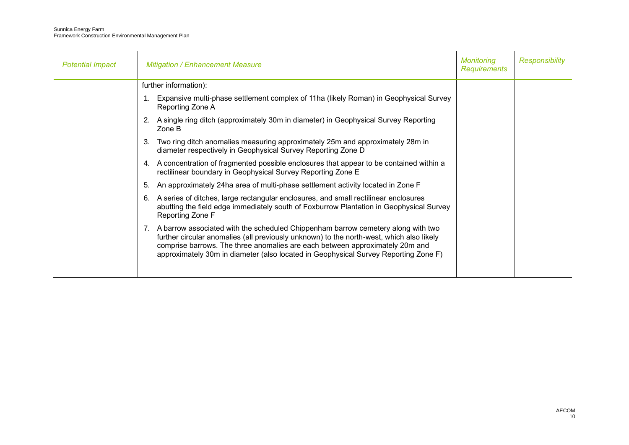| <b>Potential Impact</b> | <b>Mitigation / Enhancement Measure</b>                                                                                                                                                                                                                                                                                                                | Monitorina<br><b>Requirements</b> | <b>Responsibility</b> |
|-------------------------|--------------------------------------------------------------------------------------------------------------------------------------------------------------------------------------------------------------------------------------------------------------------------------------------------------------------------------------------------------|-----------------------------------|-----------------------|
|                         | further information):                                                                                                                                                                                                                                                                                                                                  |                                   |                       |
|                         | Expansive multi-phase settlement complex of 11ha (likely Roman) in Geophysical Survey<br>Reporting Zone A                                                                                                                                                                                                                                              |                                   |                       |
|                         | 2. A single ring ditch (approximately 30m in diameter) in Geophysical Survey Reporting<br>Zone B                                                                                                                                                                                                                                                       |                                   |                       |
|                         | Two ring ditch anomalies measuring approximately 25m and approximately 28m in<br>3.<br>diameter respectively in Geophysical Survey Reporting Zone D                                                                                                                                                                                                    |                                   |                       |
|                         | 4. A concentration of fragmented possible enclosures that appear to be contained within a<br>rectilinear boundary in Geophysical Survey Reporting Zone E                                                                                                                                                                                               |                                   |                       |
|                         | An approximately 24ha area of multi-phase settlement activity located in Zone F<br>5.                                                                                                                                                                                                                                                                  |                                   |                       |
|                         | A series of ditches, large rectangular enclosures, and small rectilinear enclosures<br>6.<br>abutting the field edge immediately south of Foxburrow Plantation in Geophysical Survey<br>Reporting Zone F                                                                                                                                               |                                   |                       |
|                         | 7. A barrow associated with the scheduled Chippenham barrow cemetery along with two<br>further circular anomalies (all previously unknown) to the north-west, which also likely<br>comprise barrows. The three anomalies are each between approximately 20m and<br>approximately 30m in diameter (also located in Geophysical Survey Reporting Zone F) |                                   |                       |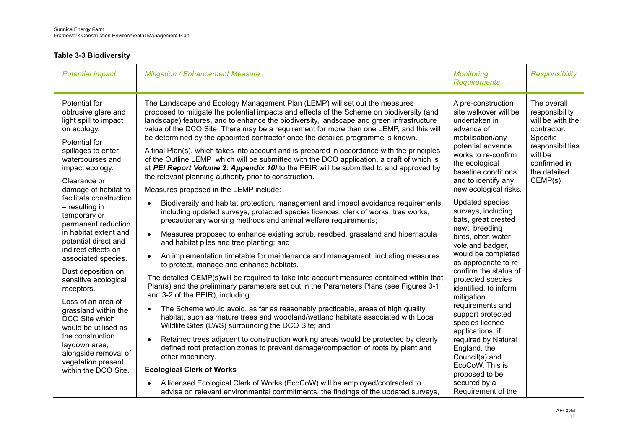## **Table 3-3 Biodiversity**

| <b>Potential Impact</b>                                                                                                                                                                                                                                             | <b>Mitigation / Enhancement Measure</b>                                                                                                                                                                                                                                                                                                                                                                                                                                                                                                                                                                                                                                                                                                                                                                                                    | <b>Monitoring</b><br><b>Requirements</b>                                                                                                                                                                                                                                                                                                                                                                                                                                                                                                                                                                                                                                                  | <b>Responsibility</b>                                                                                                                                  |
|---------------------------------------------------------------------------------------------------------------------------------------------------------------------------------------------------------------------------------------------------------------------|--------------------------------------------------------------------------------------------------------------------------------------------------------------------------------------------------------------------------------------------------------------------------------------------------------------------------------------------------------------------------------------------------------------------------------------------------------------------------------------------------------------------------------------------------------------------------------------------------------------------------------------------------------------------------------------------------------------------------------------------------------------------------------------------------------------------------------------------|-------------------------------------------------------------------------------------------------------------------------------------------------------------------------------------------------------------------------------------------------------------------------------------------------------------------------------------------------------------------------------------------------------------------------------------------------------------------------------------------------------------------------------------------------------------------------------------------------------------------------------------------------------------------------------------------|--------------------------------------------------------------------------------------------------------------------------------------------------------|
| Potential for<br>obtrusive glare and<br>light spill to impact<br>on ecology.<br>Potential for<br>spillages to enter<br>watercourses and<br>impact ecology.<br>Clearance or<br>damage of habitat to                                                                  | The Landscape and Ecology Management Plan (LEMP) will set out the measures<br>proposed to mitigate the potential impacts and effects of the Scheme on biodiversity (and<br>landscape) features, and to enhance the biodiversity, landscape and green infrastructure<br>value of the DCO Site. There may be a requirement for more than one LEMP, and this will<br>be determined by the appointed contractor once the detailed programme is known.<br>A final Plan(s), which takes into account and is prepared in accordance with the principles<br>of the Outline LEMP which will be submitted with the DCO application, a draft of which is<br>at PEI Report Volume 2: Appendix 10I to the PEIR will be submitted to and approved by<br>the relevant planning authority prior to construction.<br>Measures proposed in the LEMP include: | A pre-construction<br>site walkover will be<br>undertaken in<br>advance of<br>mobilisation/any<br>potential advance<br>works to re-confirm<br>the ecological<br>baseline conditions<br>and to identify any<br>new ecological risks.<br><b>Updated species</b><br>surveys, including<br>bats, great crested<br>newt, breeding<br>birds, otter, water<br>vole and badger,<br>would be completed<br>as appropriate to re-<br>confirm the status of<br>protected species<br>identified, to inform<br>mitigation<br>requirements and<br>support protected<br>species licence<br>applications, if<br>required by Natural<br>England. the<br>Council(s) and<br>EcoCoW. This is<br>proposed to be | The overall<br>responsibility<br>will be with the<br>contractor.<br>Specific<br>responsibilities<br>will be<br>confirmed in<br>the detailed<br>CEMP(s) |
| facilitate construction<br>$-$ resulting in<br>temporary or<br>permanent reduction<br>in habitat extent and<br>potential direct and<br>indirect effects on<br>associated species.<br>Dust deposition on<br>sensitive ecological<br>receptors.<br>Loss of an area of | Biodiversity and habitat protection, management and impact avoidance requirements<br>including updated surveys, protected species licences, clerk of works, tree works,<br>precautionary working methods and animal welfare requirements;<br>Measures proposed to enhance existing scrub, reedbed, grassland and hibernacula<br>$\bullet$<br>and habitat piles and tree planting; and<br>An implementation timetable for maintenance and management, including measures<br>$\bullet$<br>to protect, manage and enhance habitats.<br>The detailed CEMP(s) will be required to take into account measures contained within that<br>Plan(s) and the preliminary parameters set out in the Parameters Plans (see Figures 3-1<br>and 3-2 of the PEIR), including:                                                                               |                                                                                                                                                                                                                                                                                                                                                                                                                                                                                                                                                                                                                                                                                           |                                                                                                                                                        |
| grassland within the<br>DCO Site which<br>would be utilised as<br>the construction<br>laydown area,<br>alongside removal of<br>vegetation present<br>within the DCO Site.                                                                                           | The Scheme would avoid, as far as reasonably practicable, areas of high quality<br>$\bullet$<br>habitat, such as mature trees and woodland/wetland habitats associated with Local<br>Wildlife Sites (LWS) surrounding the DCO Site; and<br>Retained trees adjacent to construction working areas would be protected by clearly<br>$\bullet$<br>defined root protection zones to prevent damage/compaction of roots by plant and<br>other machinery.<br><b>Ecological Clerk of Works</b>                                                                                                                                                                                                                                                                                                                                                    |                                                                                                                                                                                                                                                                                                                                                                                                                                                                                                                                                                                                                                                                                           |                                                                                                                                                        |
|                                                                                                                                                                                                                                                                     | A licensed Ecological Clerk of Works (EcoCoW) will be employed/contracted to<br>advise on relevant environmental commitments, the findings of the updated surveys,                                                                                                                                                                                                                                                                                                                                                                                                                                                                                                                                                                                                                                                                         | secured by a<br>Requirement of the                                                                                                                                                                                                                                                                                                                                                                                                                                                                                                                                                                                                                                                        |                                                                                                                                                        |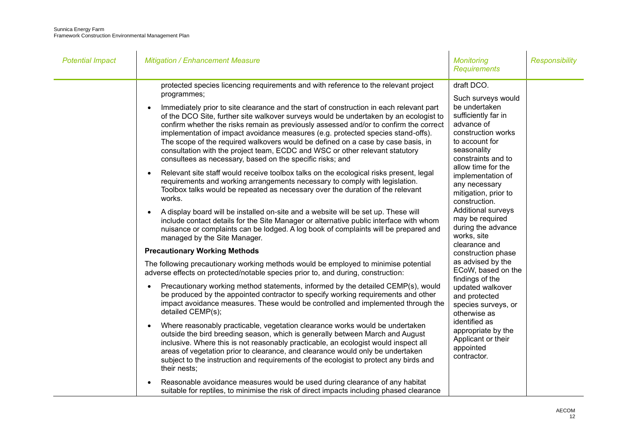| <b>Potential Impact</b> | <b>Mitigation / Enhancement Measure</b>                                                                                                                                                                                                                                                                                                                                                                                                                                                                                                                                                                                                                                                                                                                                                                                                                                                                                                                                                                                                                                                                                                                                                                                                                                                                                                                                                                                                                                                                                                                                                                                                                                                                                                                                                                                                                                                                                                                                                                                                                                                                                                                                                                                                                                                                                                                                                                                                                                 | <b>Monitoring</b><br><b>Requirements</b>                                                                                                                                                                                                                                                                                                                                                                                                                                                                                                                                                                                                | <b>Responsibility</b> |
|-------------------------|-------------------------------------------------------------------------------------------------------------------------------------------------------------------------------------------------------------------------------------------------------------------------------------------------------------------------------------------------------------------------------------------------------------------------------------------------------------------------------------------------------------------------------------------------------------------------------------------------------------------------------------------------------------------------------------------------------------------------------------------------------------------------------------------------------------------------------------------------------------------------------------------------------------------------------------------------------------------------------------------------------------------------------------------------------------------------------------------------------------------------------------------------------------------------------------------------------------------------------------------------------------------------------------------------------------------------------------------------------------------------------------------------------------------------------------------------------------------------------------------------------------------------------------------------------------------------------------------------------------------------------------------------------------------------------------------------------------------------------------------------------------------------------------------------------------------------------------------------------------------------------------------------------------------------------------------------------------------------------------------------------------------------------------------------------------------------------------------------------------------------------------------------------------------------------------------------------------------------------------------------------------------------------------------------------------------------------------------------------------------------------------------------------------------------------------------------------------------------|-----------------------------------------------------------------------------------------------------------------------------------------------------------------------------------------------------------------------------------------------------------------------------------------------------------------------------------------------------------------------------------------------------------------------------------------------------------------------------------------------------------------------------------------------------------------------------------------------------------------------------------------|-----------------------|
|                         | protected species licencing requirements and with reference to the relevant project<br>programmes;<br>Immediately prior to site clearance and the start of construction in each relevant part<br>of the DCO Site, further site walkover surveys would be undertaken by an ecologist to<br>confirm whether the risks remain as previously assessed and/or to confirm the correct<br>implementation of impact avoidance measures (e.g. protected species stand-offs).<br>The scope of the required walkovers would be defined on a case by case basis, in<br>consultation with the project team, ECDC and WSC or other relevant statutory<br>consultees as necessary, based on the specific risks; and<br>Relevant site staff would receive toolbox talks on the ecological risks present, legal<br>$\bullet$<br>requirements and working arrangements necessary to comply with legislation.<br>Toolbox talks would be repeated as necessary over the duration of the relevant<br>works.<br>A display board will be installed on-site and a website will be set up. These will<br>$\bullet$<br>include contact details for the Site Manager or alternative public interface with whom<br>nuisance or complaints can be lodged. A log book of complaints will be prepared and<br>managed by the Site Manager.<br><b>Precautionary Working Methods</b><br>The following precautionary working methods would be employed to minimise potential<br>adverse effects on protected/notable species prior to, and during, construction:<br>Precautionary working method statements, informed by the detailed CEMP(s), would<br>$\bullet$<br>be produced by the appointed contractor to specify working requirements and other<br>impact avoidance measures. These would be controlled and implemented through the<br>detailed CEMP(s);<br>Where reasonably practicable, vegetation clearance works would be undertaken<br>$\bullet$<br>outside the bird breeding season, which is generally between March and August<br>inclusive. Where this is not reasonably practicable, an ecologist would inspect all<br>areas of vegetation prior to clearance, and clearance would only be undertaken<br>subject to the instruction and requirements of the ecologist to protect any birds and<br>their nests;<br>Reasonable avoidance measures would be used during clearance of any habitat<br>suitable for reptiles, to minimise the risk of direct impacts including phased clearance | draft DCO.<br>Such surveys would<br>be undertaken<br>sufficiently far in<br>advance of<br>construction works<br>to account for<br>seasonality<br>constraints and to<br>allow time for the<br>implementation of<br>any necessary<br>mitigation, prior to<br>construction.<br><b>Additional surveys</b><br>may be required<br>during the advance<br>works, site<br>clearance and<br>construction phase<br>as advised by the<br>ECoW, based on the<br>findings of the<br>updated walkover<br>and protected<br>species surveys, or<br>otherwise as<br>identified as<br>appropriate by the<br>Applicant or their<br>appointed<br>contractor. |                       |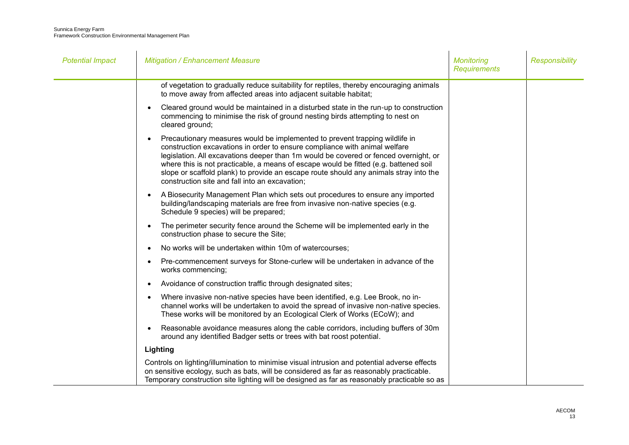| <b>Potential Impact</b> | <b>Mitigation / Enhancement Measure</b>                                                                                                                                                                                                                                                                                                                                                                                                                                              | <b>Monitoring</b><br><b>Requirements</b> | <b>Responsibility</b> |
|-------------------------|--------------------------------------------------------------------------------------------------------------------------------------------------------------------------------------------------------------------------------------------------------------------------------------------------------------------------------------------------------------------------------------------------------------------------------------------------------------------------------------|------------------------------------------|-----------------------|
|                         | of vegetation to gradually reduce suitability for reptiles, thereby encouraging animals<br>to move away from affected areas into adjacent suitable habitat;                                                                                                                                                                                                                                                                                                                          |                                          |                       |
|                         | Cleared ground would be maintained in a disturbed state in the run-up to construction<br>commencing to minimise the risk of ground nesting birds attempting to nest on<br>cleared ground;                                                                                                                                                                                                                                                                                            |                                          |                       |
|                         | Precautionary measures would be implemented to prevent trapping wildlife in<br>construction excavations in order to ensure compliance with animal welfare<br>legislation. All excavations deeper than 1m would be covered or fenced overnight, or<br>where this is not practicable, a means of escape would be fitted (e.g. battened soil<br>slope or scaffold plank) to provide an escape route should any animals stray into the<br>construction site and fall into an excavation; |                                          |                       |
|                         | A Biosecurity Management Plan which sets out procedures to ensure any imported<br>$\bullet$<br>building/landscaping materials are free from invasive non-native species (e.g.<br>Schedule 9 species) will be prepared;                                                                                                                                                                                                                                                               |                                          |                       |
|                         | The perimeter security fence around the Scheme will be implemented early in the<br>construction phase to secure the Site;                                                                                                                                                                                                                                                                                                                                                            |                                          |                       |
|                         | No works will be undertaken within 10m of watercourses;                                                                                                                                                                                                                                                                                                                                                                                                                              |                                          |                       |
|                         | Pre-commencement surveys for Stone-curlew will be undertaken in advance of the<br>works commencing;                                                                                                                                                                                                                                                                                                                                                                                  |                                          |                       |
|                         | Avoidance of construction traffic through designated sites;                                                                                                                                                                                                                                                                                                                                                                                                                          |                                          |                       |
|                         | Where invasive non-native species have been identified, e.g. Lee Brook, no in-<br>channel works will be undertaken to avoid the spread of invasive non-native species.<br>These works will be monitored by an Ecological Clerk of Works (ECoW); and                                                                                                                                                                                                                                  |                                          |                       |
|                         | Reasonable avoidance measures along the cable corridors, including buffers of 30m<br>around any identified Badger setts or trees with bat roost potential.                                                                                                                                                                                                                                                                                                                           |                                          |                       |
|                         | Lighting                                                                                                                                                                                                                                                                                                                                                                                                                                                                             |                                          |                       |
|                         | Controls on lighting/illumination to minimise visual intrusion and potential adverse effects<br>on sensitive ecology, such as bats, will be considered as far as reasonably practicable.<br>Temporary construction site lighting will be designed as far as reasonably practicable so as                                                                                                                                                                                             |                                          |                       |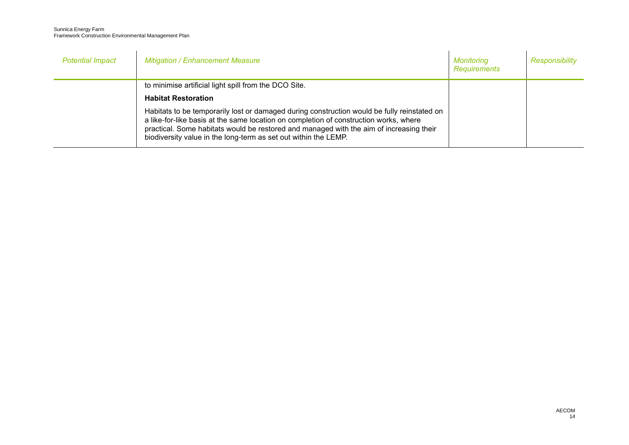| <b>Potential Impact</b> | <b>Mitigation / Enhancement Measure</b>                                                                                                                                                                                                                                                                                                            | Monitoring<br>Requirements | Responsibility |
|-------------------------|----------------------------------------------------------------------------------------------------------------------------------------------------------------------------------------------------------------------------------------------------------------------------------------------------------------------------------------------------|----------------------------|----------------|
|                         | to minimise artificial light spill from the DCO Site.<br><b>Habitat Restoration</b>                                                                                                                                                                                                                                                                |                            |                |
|                         | Habitats to be temporarily lost or damaged during construction would be fully reinstated on<br>a like-for-like basis at the same location on completion of construction works, where<br>practical. Some habitats would be restored and managed with the aim of increasing their<br>biodiversity value in the long-term as set out within the LEMP. |                            |                |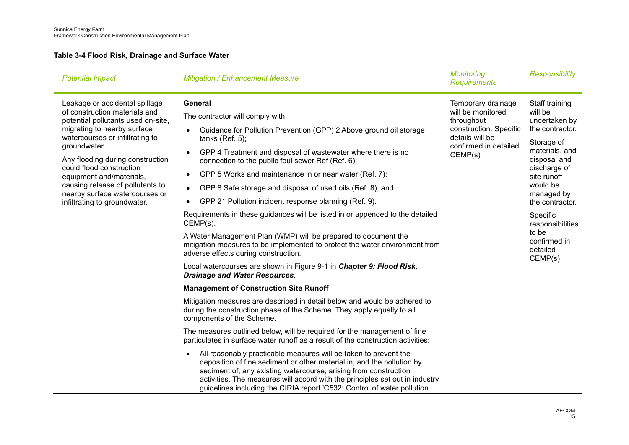### <span id="page-17-0"></span>**Table 3-4 Flood Risk, Drainage and Surface Water**

| <b>Potential Impact</b>                                                                                                                                                                                                                                                                                                                                                                   | <b>Mitigation / Enhancement Measure</b>                                                                                                                                                                                                                                                                                                                                                                                                                                                                                                                                                                                                                                                                                                                                                                                                                                                                                                                                                                                                                                                                                                                                                                                                                                                                                                                                                                                                                                                                                                                                                                                                            | <b>Monitoring</b><br><b>Requirements</b>                                                                                               | <b>Responsibility</b>                                                                                                                                                                                                                                                     |
|-------------------------------------------------------------------------------------------------------------------------------------------------------------------------------------------------------------------------------------------------------------------------------------------------------------------------------------------------------------------------------------------|----------------------------------------------------------------------------------------------------------------------------------------------------------------------------------------------------------------------------------------------------------------------------------------------------------------------------------------------------------------------------------------------------------------------------------------------------------------------------------------------------------------------------------------------------------------------------------------------------------------------------------------------------------------------------------------------------------------------------------------------------------------------------------------------------------------------------------------------------------------------------------------------------------------------------------------------------------------------------------------------------------------------------------------------------------------------------------------------------------------------------------------------------------------------------------------------------------------------------------------------------------------------------------------------------------------------------------------------------------------------------------------------------------------------------------------------------------------------------------------------------------------------------------------------------------------------------------------------------------------------------------------------------|----------------------------------------------------------------------------------------------------------------------------------------|---------------------------------------------------------------------------------------------------------------------------------------------------------------------------------------------------------------------------------------------------------------------------|
| Leakage or accidental spillage<br>of construction materials and<br>potential pollutants used on-site,<br>migrating to nearby surface<br>watercourses or infiltrating to<br>groundwater.<br>Any flooding during construction<br>could flood construction<br>equipment and/materials,<br>causing release of pollutants to<br>nearby surface watercourses or<br>infiltrating to groundwater. | General<br>The contractor will comply with:<br>Guidance for Pollution Prevention (GPP) 2 Above ground oil storage<br>$\bullet$<br>tanks $(Ref. 5)$ ;<br>GPP 4 Treatment and disposal of wastewater where there is no<br>connection to the public foul sewer Ref (Ref. 6);<br>GPP 5 Works and maintenance in or near water (Ref. 7);<br>GPP 8 Safe storage and disposal of used oils (Ref. 8); and<br>GPP 21 Pollution incident response planning (Ref. 9).<br>Requirements in these guidances will be listed in or appended to the detailed<br>CEMP(s).<br>A Water Management Plan (WMP) will be prepared to document the<br>mitigation measures to be implemented to protect the water environment from<br>adverse effects during construction.<br>Local watercourses are shown in Figure 9-1 in Chapter 9: Flood Risk,<br><b>Drainage and Water Resources.</b><br><b>Management of Construction Site Runoff</b><br>Mitigation measures are described in detail below and would be adhered to<br>during the construction phase of the Scheme. They apply equally to all<br>components of the Scheme.<br>The measures outlined below, will be required for the management of fine<br>particulates in surface water runoff as a result of the construction activities:<br>All reasonably practicable measures will be taken to prevent the<br>deposition of fine sediment or other material in, and the pollution by<br>sediment of, any existing watercourse, arising from construction<br>activities. The measures will accord with the principles set out in industry<br>guidelines including the CIRIA report 'C532: Control of water pollution | Temporary drainage<br>will be monitored<br>throughout<br>construction. Specific<br>details will be<br>confirmed in detailed<br>CEMP(s) | Staff training<br>will be<br>undertaken by<br>the contractor.<br>Storage of<br>materials, and<br>disposal and<br>discharge of<br>site runoff<br>would be<br>managed by<br>the contractor.<br>Specific<br>responsibilities<br>to be<br>confirmed in<br>detailed<br>CEMP(s) |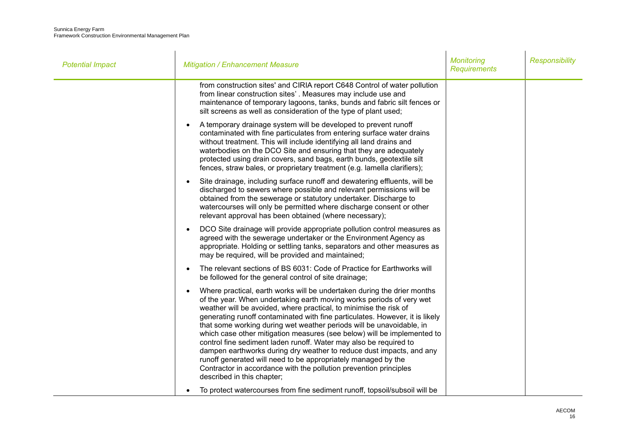| <b>Potential Impact</b> | <b>Mitigation / Enhancement Measure</b>                                                                                                                                                                                                                                                                                                                                                                                                                                                                                                                                                                                                                                                                                                                                  | <b>Monitoring</b><br><b>Requirements</b> | <b>Responsibility</b> |
|-------------------------|--------------------------------------------------------------------------------------------------------------------------------------------------------------------------------------------------------------------------------------------------------------------------------------------------------------------------------------------------------------------------------------------------------------------------------------------------------------------------------------------------------------------------------------------------------------------------------------------------------------------------------------------------------------------------------------------------------------------------------------------------------------------------|------------------------------------------|-----------------------|
|                         | from construction sites' and CIRIA report C648 Control of water pollution<br>from linear construction sites'. Measures may include use and<br>maintenance of temporary lagoons, tanks, bunds and fabric silt fences or<br>silt screens as well as consideration of the type of plant used;                                                                                                                                                                                                                                                                                                                                                                                                                                                                               |                                          |                       |
|                         | A temporary drainage system will be developed to prevent runoff<br>contaminated with fine particulates from entering surface water drains<br>without treatment. This will include identifying all land drains and<br>waterbodies on the DCO Site and ensuring that they are adequately<br>protected using drain covers, sand bags, earth bunds, geotextile silt<br>fences, straw bales, or proprietary treatment (e.g. lamella clarifiers);                                                                                                                                                                                                                                                                                                                              |                                          |                       |
|                         | Site drainage, including surface runoff and dewatering effluents, will be<br>$\bullet$<br>discharged to sewers where possible and relevant permissions will be<br>obtained from the sewerage or statutory undertaker. Discharge to<br>watercourses will only be permitted where discharge consent or other<br>relevant approval has been obtained (where necessary);                                                                                                                                                                                                                                                                                                                                                                                                     |                                          |                       |
|                         | DCO Site drainage will provide appropriate pollution control measures as<br>$\bullet$<br>agreed with the sewerage undertaker or the Environment Agency as<br>appropriate. Holding or settling tanks, separators and other measures as<br>may be required, will be provided and maintained;                                                                                                                                                                                                                                                                                                                                                                                                                                                                               |                                          |                       |
|                         | The relevant sections of BS 6031: Code of Practice for Earthworks will<br>be followed for the general control of site drainage;                                                                                                                                                                                                                                                                                                                                                                                                                                                                                                                                                                                                                                          |                                          |                       |
|                         | Where practical, earth works will be undertaken during the drier months<br>of the year. When undertaking earth moving works periods of very wet<br>weather will be avoided, where practical, to minimise the risk of<br>generating runoff contaminated with fine particulates. However, it is likely<br>that some working during wet weather periods will be unavoidable, in<br>which case other mitigation measures (see below) will be implemented to<br>control fine sediment laden runoff. Water may also be required to<br>dampen earthworks during dry weather to reduce dust impacts, and any<br>runoff generated will need to be appropriately managed by the<br>Contractor in accordance with the pollution prevention principles<br>described in this chapter; |                                          |                       |
|                         | To protect watercourses from fine sediment runoff, topsoil/subsoil will be                                                                                                                                                                                                                                                                                                                                                                                                                                                                                                                                                                                                                                                                                               |                                          |                       |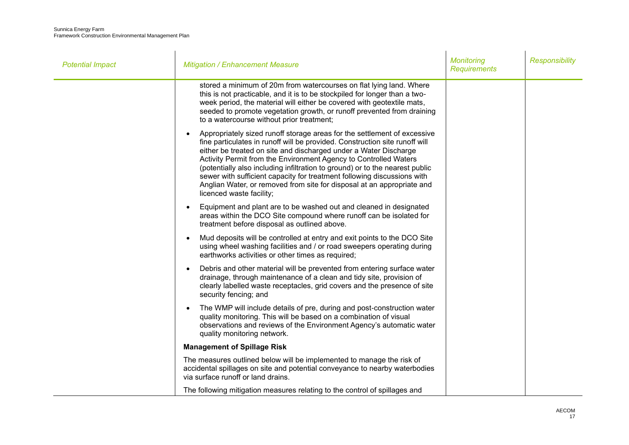| <b>Potential Impact</b> | <b>Mitigation / Enhancement Measure</b>                                                                                                                                                                                                                                                                                                                                                                                                                                                                                                                          | <b>Monitoring</b><br><b>Requirements</b> | <b>Responsibility</b> |
|-------------------------|------------------------------------------------------------------------------------------------------------------------------------------------------------------------------------------------------------------------------------------------------------------------------------------------------------------------------------------------------------------------------------------------------------------------------------------------------------------------------------------------------------------------------------------------------------------|------------------------------------------|-----------------------|
|                         | stored a minimum of 20m from watercourses on flat lying land. Where<br>this is not practicable, and it is to be stockpiled for longer than a two-<br>week period, the material will either be covered with geotextile mats,<br>seeded to promote vegetation growth, or runoff prevented from draining<br>to a watercourse without prior treatment;                                                                                                                                                                                                               |                                          |                       |
|                         | Appropriately sized runoff storage areas for the settlement of excessive<br>fine particulates in runoff will be provided. Construction site runoff will<br>either be treated on site and discharged under a Water Discharge<br>Activity Permit from the Environment Agency to Controlled Waters<br>(potentially also including infiltration to ground) or to the nearest public<br>sewer with sufficient capacity for treatment following discussions with<br>Anglian Water, or removed from site for disposal at an appropriate and<br>licenced waste facility; |                                          |                       |
|                         | Equipment and plant are to be washed out and cleaned in designated<br>areas within the DCO Site compound where runoff can be isolated for<br>treatment before disposal as outlined above.                                                                                                                                                                                                                                                                                                                                                                        |                                          |                       |
|                         | Mud deposits will be controlled at entry and exit points to the DCO Site<br>$\bullet$<br>using wheel washing facilities and / or road sweepers operating during<br>earthworks activities or other times as required;                                                                                                                                                                                                                                                                                                                                             |                                          |                       |
|                         | Debris and other material will be prevented from entering surface water<br>$\bullet$<br>drainage, through maintenance of a clean and tidy site, provision of<br>clearly labelled waste receptacles, grid covers and the presence of site<br>security fencing; and                                                                                                                                                                                                                                                                                                |                                          |                       |
|                         | The WMP will include details of pre, during and post-construction water<br>$\bullet$<br>quality monitoring. This will be based on a combination of visual<br>observations and reviews of the Environment Agency's automatic water<br>quality monitoring network.                                                                                                                                                                                                                                                                                                 |                                          |                       |
|                         | <b>Management of Spillage Risk</b>                                                                                                                                                                                                                                                                                                                                                                                                                                                                                                                               |                                          |                       |
|                         | The measures outlined below will be implemented to manage the risk of<br>accidental spillages on site and potential conveyance to nearby waterbodies<br>via surface runoff or land drains.                                                                                                                                                                                                                                                                                                                                                                       |                                          |                       |
|                         | The following mitigation measures relating to the control of spillages and                                                                                                                                                                                                                                                                                                                                                                                                                                                                                       |                                          |                       |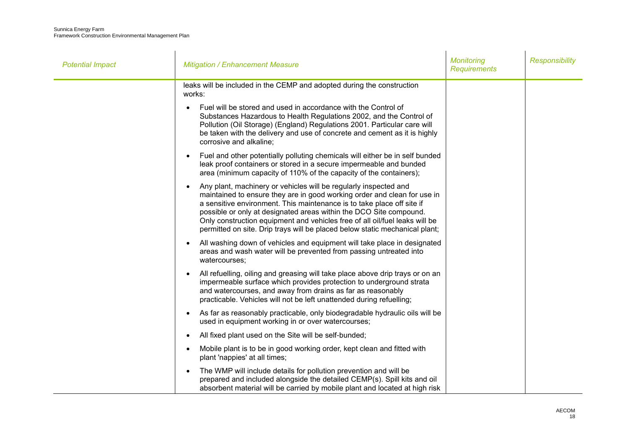| <b>Potential Impact</b> | <b>Mitigation / Enhancement Measure</b>                                                                                                                                                                                                                                                                                                                                                                                                                    | <b>Monitoring</b><br><b>Requirements</b> | <b>Responsibility</b> |
|-------------------------|------------------------------------------------------------------------------------------------------------------------------------------------------------------------------------------------------------------------------------------------------------------------------------------------------------------------------------------------------------------------------------------------------------------------------------------------------------|------------------------------------------|-----------------------|
|                         | leaks will be included in the CEMP and adopted during the construction<br>works:                                                                                                                                                                                                                                                                                                                                                                           |                                          |                       |
|                         | Fuel will be stored and used in accordance with the Control of<br>Substances Hazardous to Health Regulations 2002, and the Control of<br>Pollution (Oil Storage) (England) Regulations 2001. Particular care will<br>be taken with the delivery and use of concrete and cement as it is highly<br>corrosive and alkaline;                                                                                                                                  |                                          |                       |
|                         | Fuel and other potentially polluting chemicals will either be in self bunded<br>$\bullet$<br>leak proof containers or stored in a secure impermeable and bunded<br>area (minimum capacity of 110% of the capacity of the containers);                                                                                                                                                                                                                      |                                          |                       |
|                         | Any plant, machinery or vehicles will be regularly inspected and<br>maintained to ensure they are in good working order and clean for use in<br>a sensitive environment. This maintenance is to take place off site if<br>possible or only at designated areas within the DCO Site compound.<br>Only construction equipment and vehicles free of all oil/fuel leaks will be<br>permitted on site. Drip trays will be placed below static mechanical plant; |                                          |                       |
|                         | All washing down of vehicles and equipment will take place in designated<br>areas and wash water will be prevented from passing untreated into<br>watercourses;                                                                                                                                                                                                                                                                                            |                                          |                       |
|                         | All refuelling, oiling and greasing will take place above drip trays or on an<br>impermeable surface which provides protection to underground strata<br>and watercourses, and away from drains as far as reasonably<br>practicable. Vehicles will not be left unattended during refuelling;                                                                                                                                                                |                                          |                       |
|                         | As far as reasonably practicable, only biodegradable hydraulic oils will be<br>$\bullet$<br>used in equipment working in or over watercourses;                                                                                                                                                                                                                                                                                                             |                                          |                       |
|                         | All fixed plant used on the Site will be self-bunded;                                                                                                                                                                                                                                                                                                                                                                                                      |                                          |                       |
|                         | Mobile plant is to be in good working order, kept clean and fitted with<br>$\bullet$<br>plant 'nappies' at all times;                                                                                                                                                                                                                                                                                                                                      |                                          |                       |
|                         | The WMP will include details for pollution prevention and will be<br>prepared and included alongside the detailed CEMP(s). Spill kits and oil<br>absorbent material will be carried by mobile plant and located at high risk                                                                                                                                                                                                                               |                                          |                       |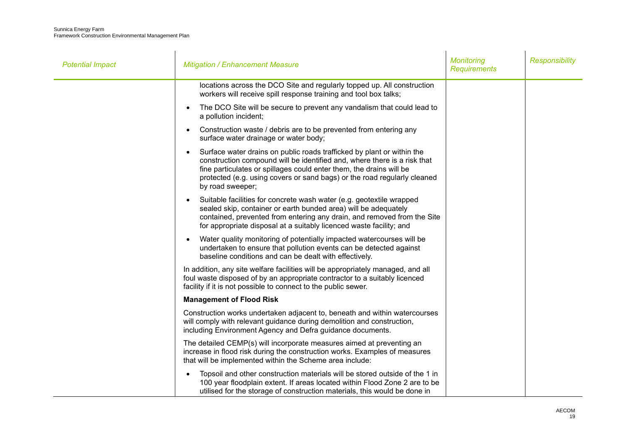| <b>Potential Impact</b> | <b>Mitigation / Enhancement Measure</b>                                                                                                                                                                                                                                                                                   | <b>Monitoring</b><br><b>Requirements</b> | <b>Responsibility</b> |
|-------------------------|---------------------------------------------------------------------------------------------------------------------------------------------------------------------------------------------------------------------------------------------------------------------------------------------------------------------------|------------------------------------------|-----------------------|
|                         | locations across the DCO Site and regularly topped up. All construction<br>workers will receive spill response training and tool box talks;                                                                                                                                                                               |                                          |                       |
|                         | The DCO Site will be secure to prevent any vandalism that could lead to<br>a pollution incident;                                                                                                                                                                                                                          |                                          |                       |
|                         | Construction waste / debris are to be prevented from entering any<br>surface water drainage or water body;                                                                                                                                                                                                                |                                          |                       |
|                         | Surface water drains on public roads trafficked by plant or within the<br>construction compound will be identified and, where there is a risk that<br>fine particulates or spillages could enter them, the drains will be<br>protected (e.g. using covers or sand bags) or the road regularly cleaned<br>by road sweeper; |                                          |                       |
|                         | Suitable facilities for concrete wash water (e.g. geotextile wrapped<br>sealed skip, container or earth bunded area) will be adequately<br>contained, prevented from entering any drain, and removed from the Site<br>for appropriate disposal at a suitably licenced waste facility; and                                 |                                          |                       |
|                         | Water quality monitoring of potentially impacted watercourses will be<br>undertaken to ensure that pollution events can be detected against<br>baseline conditions and can be dealt with effectively.                                                                                                                     |                                          |                       |
|                         | In addition, any site welfare facilities will be appropriately managed, and all<br>foul waste disposed of by an appropriate contractor to a suitably licenced<br>facility if it is not possible to connect to the public sewer.                                                                                           |                                          |                       |
|                         | <b>Management of Flood Risk</b>                                                                                                                                                                                                                                                                                           |                                          |                       |
|                         | Construction works undertaken adjacent to, beneath and within watercourses<br>will comply with relevant guidance during demolition and construction,<br>including Environment Agency and Defra guidance documents.                                                                                                        |                                          |                       |
|                         | The detailed CEMP(s) will incorporate measures aimed at preventing an<br>increase in flood risk during the construction works. Examples of measures<br>that will be implemented within the Scheme area include:                                                                                                           |                                          |                       |
|                         | Topsoil and other construction materials will be stored outside of the 1 in<br>100 year floodplain extent. If areas located within Flood Zone 2 are to be<br>utilised for the storage of construction materials, this would be done in                                                                                    |                                          |                       |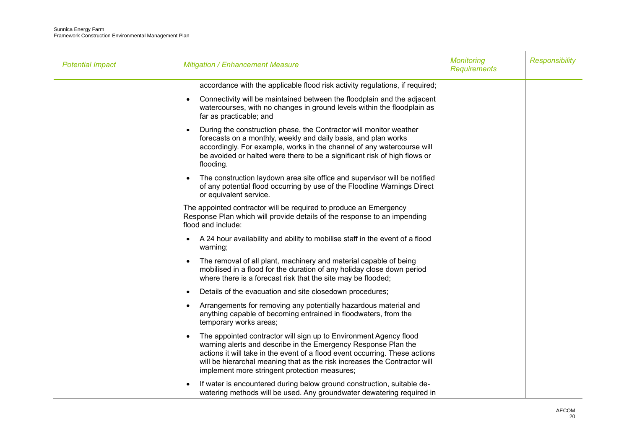| <b>Potential Impact</b> | <b>Mitigation / Enhancement Measure</b>                                                                                                                                                                                                                                                                                                          | <b>Monitoring</b><br><b>Requirements</b> | <b>Responsibility</b> |
|-------------------------|--------------------------------------------------------------------------------------------------------------------------------------------------------------------------------------------------------------------------------------------------------------------------------------------------------------------------------------------------|------------------------------------------|-----------------------|
|                         | accordance with the applicable flood risk activity regulations, if required;                                                                                                                                                                                                                                                                     |                                          |                       |
|                         | Connectivity will be maintained between the floodplain and the adjacent<br>watercourses, with no changes in ground levels within the floodplain as<br>far as practicable; and                                                                                                                                                                    |                                          |                       |
|                         | During the construction phase, the Contractor will monitor weather<br>forecasts on a monthly, weekly and daily basis, and plan works<br>accordingly. For example, works in the channel of any watercourse will<br>be avoided or halted were there to be a significant risk of high flows or<br>flooding.                                         |                                          |                       |
|                         | The construction laydown area site office and supervisor will be notified<br>of any potential flood occurring by use of the Floodline Warnings Direct<br>or equivalent service.                                                                                                                                                                  |                                          |                       |
|                         | The appointed contractor will be required to produce an Emergency<br>Response Plan which will provide details of the response to an impending<br>flood and include:                                                                                                                                                                              |                                          |                       |
|                         | A 24 hour availability and ability to mobilise staff in the event of a flood<br>warning;                                                                                                                                                                                                                                                         |                                          |                       |
|                         | The removal of all plant, machinery and material capable of being<br>mobilised in a flood for the duration of any holiday close down period<br>where there is a forecast risk that the site may be flooded;                                                                                                                                      |                                          |                       |
|                         | Details of the evacuation and site closedown procedures;                                                                                                                                                                                                                                                                                         |                                          |                       |
|                         | Arrangements for removing any potentially hazardous material and<br>anything capable of becoming entrained in floodwaters, from the<br>temporary works areas;                                                                                                                                                                                    |                                          |                       |
|                         | The appointed contractor will sign up to Environment Agency flood<br>warning alerts and describe in the Emergency Response Plan the<br>actions it will take in the event of a flood event occurring. These actions<br>will be hierarchal meaning that as the risk increases the Contractor will<br>implement more stringent protection measures; |                                          |                       |
|                         | If water is encountered during below ground construction, suitable de-<br>watering methods will be used. Any groundwater dewatering required in                                                                                                                                                                                                  |                                          |                       |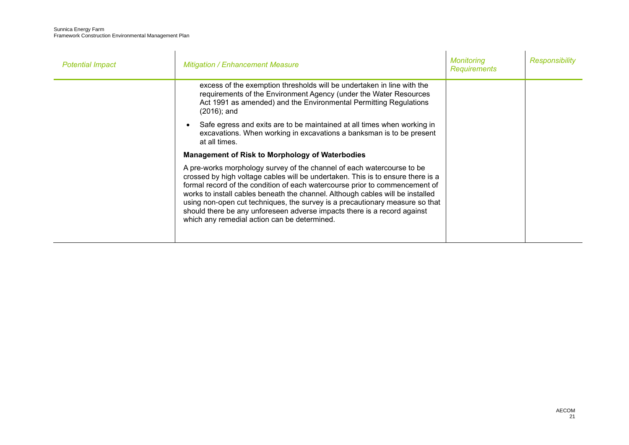| <b>Potential Impact</b> | <b>Mitigation / Enhancement Measure</b>                                                                                                                                                                                                                                                                                                                                                                                                                                                                                                | <b>Monitoring</b><br><b>Requirements</b> | <b>Responsibility</b> |
|-------------------------|----------------------------------------------------------------------------------------------------------------------------------------------------------------------------------------------------------------------------------------------------------------------------------------------------------------------------------------------------------------------------------------------------------------------------------------------------------------------------------------------------------------------------------------|------------------------------------------|-----------------------|
|                         | excess of the exemption thresholds will be undertaken in line with the<br>requirements of the Environment Agency (under the Water Resources<br>Act 1991 as amended) and the Environmental Permitting Regulations<br>$(2016)$ ; and                                                                                                                                                                                                                                                                                                     |                                          |                       |
|                         | Safe egress and exits are to be maintained at all times when working in<br>excavations. When working in excavations a banksman is to be present<br>at all times.                                                                                                                                                                                                                                                                                                                                                                       |                                          |                       |
|                         | <b>Management of Risk to Morphology of Waterbodies</b>                                                                                                                                                                                                                                                                                                                                                                                                                                                                                 |                                          |                       |
|                         | A pre-works morphology survey of the channel of each watercourse to be<br>crossed by high voltage cables will be undertaken. This is to ensure there is a<br>formal record of the condition of each watercourse prior to commencement of<br>works to install cables beneath the channel. Although cables will be installed<br>using non-open cut techniques, the survey is a precautionary measure so that<br>should there be any unforeseen adverse impacts there is a record against<br>which any remedial action can be determined. |                                          |                       |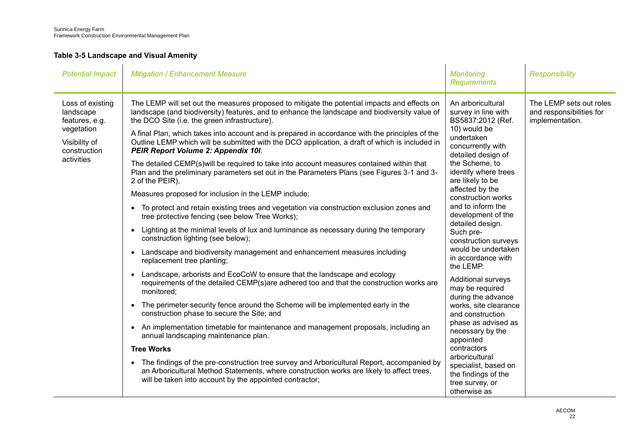### <span id="page-24-0"></span>**Table 3-5 Landscape and Visual Amenity**

| <b>Potential Impact</b>                                                                                      | <b>Mitigation / Enhancement Measure</b>                                                                                                                                                                                                                                                                                                                                                                                                                                                                                                                                                                                                                                                                                                                                                                                                                                                                                                                                                                                                                                                                                                                                                                                                                                                                                                                                                                                                                                                                                                                                                                                                                                                                                                                                                                                                                                                                                             | <b>Monitoring</b><br><b>Requirements</b>                                                                                                                                                                                                                                                                                                                                                                                                                                                                                                                                                                                                                                                           | <b>Responsibility</b>                                                  |
|--------------------------------------------------------------------------------------------------------------|-------------------------------------------------------------------------------------------------------------------------------------------------------------------------------------------------------------------------------------------------------------------------------------------------------------------------------------------------------------------------------------------------------------------------------------------------------------------------------------------------------------------------------------------------------------------------------------------------------------------------------------------------------------------------------------------------------------------------------------------------------------------------------------------------------------------------------------------------------------------------------------------------------------------------------------------------------------------------------------------------------------------------------------------------------------------------------------------------------------------------------------------------------------------------------------------------------------------------------------------------------------------------------------------------------------------------------------------------------------------------------------------------------------------------------------------------------------------------------------------------------------------------------------------------------------------------------------------------------------------------------------------------------------------------------------------------------------------------------------------------------------------------------------------------------------------------------------------------------------------------------------------------------------------------------------|----------------------------------------------------------------------------------------------------------------------------------------------------------------------------------------------------------------------------------------------------------------------------------------------------------------------------------------------------------------------------------------------------------------------------------------------------------------------------------------------------------------------------------------------------------------------------------------------------------------------------------------------------------------------------------------------------|------------------------------------------------------------------------|
| Loss of existing<br>landscape<br>features, e.g.<br>vegetation<br>Visibility of<br>construction<br>activities | The LEMP will set out the measures proposed to mitigate the potential impacts and effects on<br>landscape (and biodiversity) features, and to enhance the landscape and biodiversity value of<br>the DCO Site (i.e. the green infrastructure).<br>A final Plan, which takes into account and is prepared in accordance with the principles of the<br>Outline LEMP which will be submitted with the DCO application, a draft of which is included in<br>PEIR Report Volume 2: Appendix 10I.<br>The detailed CEMP(s) will be required to take into account measures contained within that<br>Plan and the preliminary parameters set out in the Parameters Plans (see Figures 3-1 and 3-<br>2 of the PEIR),<br>Measures proposed for inclusion in the LEMP include:<br>To protect and retain existing trees and vegetation via construction exclusion zones and<br>tree protective fencing (see below Tree Works);<br>Lighting at the minimal levels of lux and luminance as necessary during the temporary<br>$\bullet$<br>construction lighting (see below);<br>Landscape and biodiversity management and enhancement measures including<br>replacement tree planting;<br>Landscape, arborists and EcoCoW to ensure that the landscape and ecology<br>$\bullet$<br>requirements of the detailed CEMP(s)are adhered too and that the construction works are<br>monitored;<br>• The perimeter security fence around the Scheme will be implemented early in the<br>construction phase to secure the Site; and<br>An implementation timetable for maintenance and management proposals, including an<br>$\bullet$<br>annual landscaping maintenance plan.<br><b>Tree Works</b><br>• The findings of the pre-construction tree survey and Arboricultural Report, accompanied by<br>an Arboricultural Method Statements, where construction works are likely to affect trees,<br>will be taken into account by the appointed contractor; | An arboricultural<br>survey in line with<br>BS5837:2012 (Ref.<br>10) would be<br>undertaken<br>concurrently with<br>detailed design of<br>the Scheme, to<br>identify where trees<br>are likely to be<br>affected by the<br>construction works<br>and to inform the<br>development of the<br>detailed design.<br>Such pre-<br>construction surveys<br>would be undertaken<br>in accordance with<br>the LEMP.<br>Additional surveys<br>may be required<br>during the advance<br>works, site clearance<br>and construction<br>phase as advised as<br>necessary by the<br>appointed<br>contractors<br>arboricultural<br>specialist, based on<br>the findings of the<br>tree survey, or<br>otherwise as | The LEMP sets out roles<br>and responsibilities for<br>implementation. |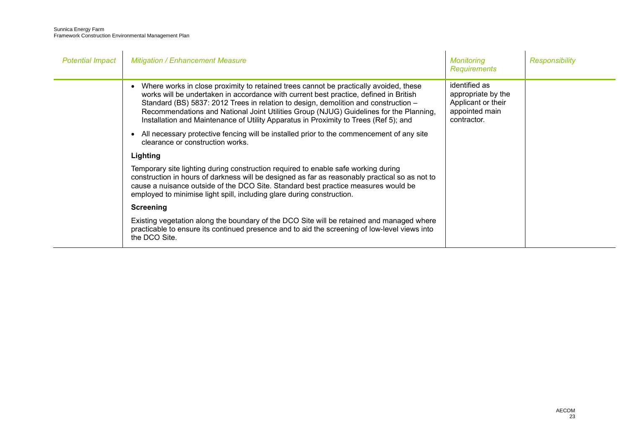| <b>Potential Impact</b> | <b>Mitigation / Enhancement Measure</b>                                                                                                                                                                                                                                                                                                                                                                                                                 | Monitoring<br><b>Requirements</b>                                                          | <b>Responsibility</b> |
|-------------------------|---------------------------------------------------------------------------------------------------------------------------------------------------------------------------------------------------------------------------------------------------------------------------------------------------------------------------------------------------------------------------------------------------------------------------------------------------------|--------------------------------------------------------------------------------------------|-----------------------|
|                         | Where works in close proximity to retained trees cannot be practically avoided, these<br>works will be undertaken in accordance with current best practice, defined in British<br>Standard (BS) 5837: 2012 Trees in relation to design, demolition and construction -<br>Recommendations and National Joint Utilities Group (NJUG) Guidelines for the Planning,<br>Installation and Maintenance of Utility Apparatus in Proximity to Trees (Ref 5); and | identified as<br>appropriate by the<br>Applicant or their<br>appointed main<br>contractor. |                       |
|                         | All necessary protective fencing will be installed prior to the commencement of any site<br>clearance or construction works.                                                                                                                                                                                                                                                                                                                            |                                                                                            |                       |
|                         | Lighting                                                                                                                                                                                                                                                                                                                                                                                                                                                |                                                                                            |                       |
|                         | Temporary site lighting during construction required to enable safe working during<br>construction in hours of darkness will be designed as far as reasonably practical so as not to<br>cause a nuisance outside of the DCO Site. Standard best practice measures would be<br>employed to minimise light spill, including glare during construction.                                                                                                    |                                                                                            |                       |
|                         | <b>Screening</b>                                                                                                                                                                                                                                                                                                                                                                                                                                        |                                                                                            |                       |
|                         | Existing vegetation along the boundary of the DCO Site will be retained and managed where<br>practicable to ensure its continued presence and to aid the screening of low-level views into<br>the DCO Site.                                                                                                                                                                                                                                             |                                                                                            |                       |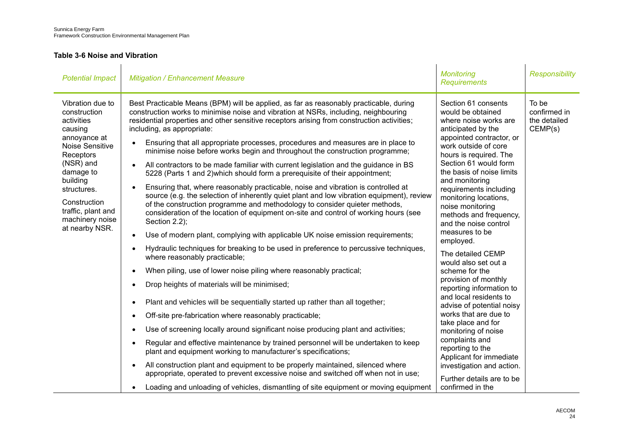### <span id="page-26-0"></span>**Table 3-6 Noise and Vibration**

| <b>Potential Impact</b>                                                                                                                                                                                                                   | <b>Mitigation / Enhancement Measure</b>                                                                                                                                                                                                                                                                                                                                                                                                                                                                                                                                                                                                                                                                                                                                                                                                                                                                                                                                                                                                                                                                                                                                                                                                                                                                                                                                                                                                                                                                                                                                                                                                                                                                                                                                                                                                                                                                                                                                                                                                      | <b>Monitoring</b><br><b>Requirements</b>                                                                                                                                                                                                                                                                                                                                                                                                                                                                                                                                                                                                                                                                                                                                                              | <b>Responsibility</b>                            |
|-------------------------------------------------------------------------------------------------------------------------------------------------------------------------------------------------------------------------------------------|----------------------------------------------------------------------------------------------------------------------------------------------------------------------------------------------------------------------------------------------------------------------------------------------------------------------------------------------------------------------------------------------------------------------------------------------------------------------------------------------------------------------------------------------------------------------------------------------------------------------------------------------------------------------------------------------------------------------------------------------------------------------------------------------------------------------------------------------------------------------------------------------------------------------------------------------------------------------------------------------------------------------------------------------------------------------------------------------------------------------------------------------------------------------------------------------------------------------------------------------------------------------------------------------------------------------------------------------------------------------------------------------------------------------------------------------------------------------------------------------------------------------------------------------------------------------------------------------------------------------------------------------------------------------------------------------------------------------------------------------------------------------------------------------------------------------------------------------------------------------------------------------------------------------------------------------------------------------------------------------------------------------------------------------|-------------------------------------------------------------------------------------------------------------------------------------------------------------------------------------------------------------------------------------------------------------------------------------------------------------------------------------------------------------------------------------------------------------------------------------------------------------------------------------------------------------------------------------------------------------------------------------------------------------------------------------------------------------------------------------------------------------------------------------------------------------------------------------------------------|--------------------------------------------------|
| Vibration due to<br>construction<br>activities<br>causing<br>annoyance at<br>Noise Sensitive<br>Receptors<br>(NSR) and<br>damage to<br>building<br>structures.<br>Construction<br>traffic, plant and<br>machinery noise<br>at nearby NSR. | Best Practicable Means (BPM) will be applied, as far as reasonably practicable, during<br>construction works to minimise noise and vibration at NSRs, including, neighbouring<br>residential properties and other sensitive receptors arising from construction activities;<br>including, as appropriate:<br>Ensuring that all appropriate processes, procedures and measures are in place to<br>minimise noise before works begin and throughout the construction programme;<br>All contractors to be made familiar with current legislation and the guidance in BS<br>5228 (Parts 1 and 2) which should form a prerequisite of their appointment;<br>Ensuring that, where reasonably practicable, noise and vibration is controlled at<br>source (e.g. the selection of inherently quiet plant and low vibration equipment), review<br>of the construction programme and methodology to consider quieter methods,<br>consideration of the location of equipment on-site and control of working hours (see<br>Section 2.2);<br>Use of modern plant, complying with applicable UK noise emission requirements;<br>Hydraulic techniques for breaking to be used in preference to percussive techniques,<br>where reasonably practicable;<br>When piling, use of lower noise piling where reasonably practical;<br>Drop heights of materials will be minimised;<br>Plant and vehicles will be sequentially started up rather than all together;<br>Off-site pre-fabrication where reasonably practicable;<br>Use of screening locally around significant noise producing plant and activities;<br>$\bullet$<br>Regular and effective maintenance by trained personnel will be undertaken to keep<br>plant and equipment working to manufacturer's specifications;<br>All construction plant and equipment to be properly maintained, silenced where<br>$\bullet$<br>appropriate, operated to prevent excessive noise and switched off when not in use;<br>Loading and unloading of vehicles, dismantling of site equipment or moving equipment | Section 61 consents<br>would be obtained<br>where noise works are<br>anticipated by the<br>appointed contractor, or<br>work outside of core<br>hours is required. The<br>Section 61 would form<br>the basis of noise limits<br>and monitoring<br>requirements including<br>monitoring locations,<br>noise monitoring<br>methods and frequency,<br>and the noise control<br>measures to be<br>employed.<br>The detailed CEMP<br>would also set out a<br>scheme for the<br>provision of monthly<br>reporting information to<br>and local residents to<br>advise of potential noisy<br>works that are due to<br>take place and for<br>monitoring of noise<br>complaints and<br>reporting to the<br>Applicant for immediate<br>investigation and action.<br>Further details are to be<br>confirmed in the | To be<br>confirmed in<br>the detailed<br>CEMP(s) |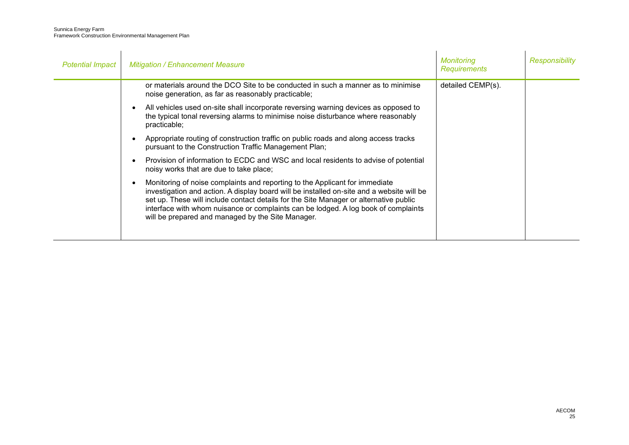| <b>Potential Impact</b> | <b>Mitigation / Enhancement Measure</b>                                                                                                                                                                                                                                                                                                                                                                           | <b>Monitoring</b><br><b>Requirements</b> | Responsibility |
|-------------------------|-------------------------------------------------------------------------------------------------------------------------------------------------------------------------------------------------------------------------------------------------------------------------------------------------------------------------------------------------------------------------------------------------------------------|------------------------------------------|----------------|
|                         | or materials around the DCO Site to be conducted in such a manner as to minimise<br>noise generation, as far as reasonably practicable;                                                                                                                                                                                                                                                                           | detailed CEMP(s).                        |                |
|                         | All vehicles used on-site shall incorporate reversing warning devices as opposed to<br>the typical tonal reversing alarms to minimise noise disturbance where reasonably<br>practicable;                                                                                                                                                                                                                          |                                          |                |
|                         | Appropriate routing of construction traffic on public roads and along access tracks<br>pursuant to the Construction Traffic Management Plan;                                                                                                                                                                                                                                                                      |                                          |                |
|                         | Provision of information to ECDC and WSC and local residents to advise of potential<br>$\bullet$<br>noisy works that are due to take place;                                                                                                                                                                                                                                                                       |                                          |                |
|                         | Monitoring of noise complaints and reporting to the Applicant for immediate<br>٠<br>investigation and action. A display board will be installed on-site and a website will be<br>set up. These will include contact details for the Site Manager or alternative public<br>interface with whom nuisance or complaints can be lodged. A log book of complaints<br>will be prepared and managed by the Site Manager. |                                          |                |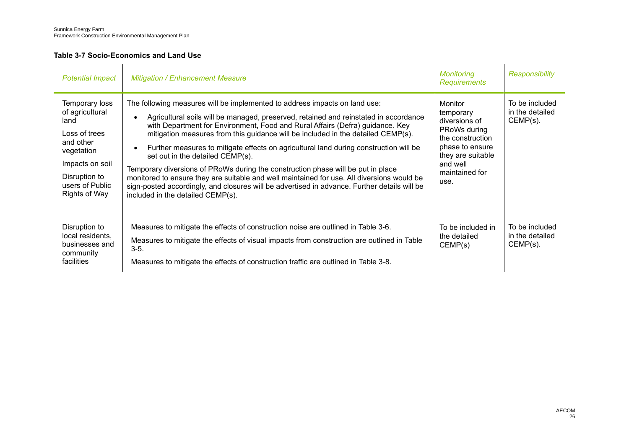## <span id="page-28-0"></span>**Table 3-7 Socio-Economics and Land Use**

| <b>Potential Impact</b>                                                                                                                                              | <b>Mitigation / Enhancement Measure</b>                                                                                                                                                                                                                                                                                                                                                                                                                                                                                                                                                                                                                                                                                                                                                                  | Monitoring<br><b>Requirements</b>                                                                                                                       | Responsibility                                   |
|----------------------------------------------------------------------------------------------------------------------------------------------------------------------|----------------------------------------------------------------------------------------------------------------------------------------------------------------------------------------------------------------------------------------------------------------------------------------------------------------------------------------------------------------------------------------------------------------------------------------------------------------------------------------------------------------------------------------------------------------------------------------------------------------------------------------------------------------------------------------------------------------------------------------------------------------------------------------------------------|---------------------------------------------------------------------------------------------------------------------------------------------------------|--------------------------------------------------|
| Temporary loss<br>of agricultural<br>land<br>Loss of trees<br>and other<br>vegetation<br>Impacts on soil<br>Disruption to<br>users of Public<br><b>Rights of Way</b> | The following measures will be implemented to address impacts on land use:<br>Agricultural soils will be managed, preserved, retained and reinstated in accordance<br>with Department for Environment, Food and Rural Affairs (Defra) guidance. Key<br>mitigation measures from this guidance will be included in the detailed CEMP(s).<br>Further measures to mitigate effects on agricultural land during construction will be<br>$\bullet$<br>set out in the detailed CEMP(s).<br>Temporary diversions of PRoWs during the construction phase will be put in place<br>monitored to ensure they are suitable and well maintained for use. All diversions would be<br>sign-posted accordingly, and closures will be advertised in advance. Further details will be<br>included in the detailed CEMP(s). | Monitor<br>temporary<br>diversions of<br>PRoWs during<br>the construction<br>phase to ensure<br>they are suitable<br>and well<br>maintained for<br>use. | To be included<br>in the detailed<br>$CEMP(s)$ . |
| Disruption to<br>local residents,<br>businesses and<br>community<br>facilities                                                                                       | Measures to mitigate the effects of construction noise are outlined in Table 3-6.<br>Measures to mitigate the effects of visual impacts from construction are outlined in Table<br>$3-5.$<br>Measures to mitigate the effects of construction traffic are outlined in Table 3-8.                                                                                                                                                                                                                                                                                                                                                                                                                                                                                                                         | To be included in<br>the detailed<br>CEMP(s)                                                                                                            | To be included<br>in the detailed<br>$CEMP(s)$ . |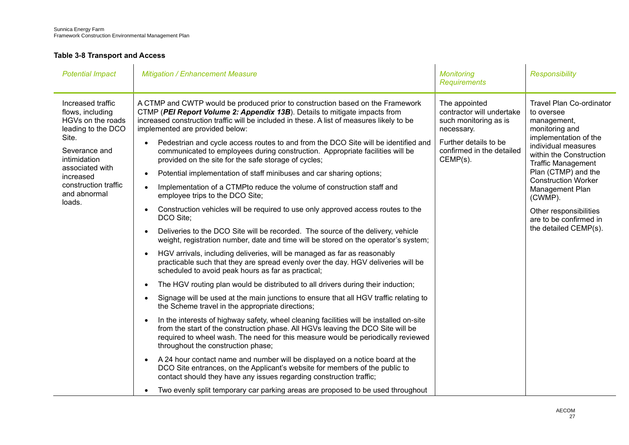### <span id="page-29-0"></span>**Table 3-8 Transport and Access**

| <b>Potential Impact</b>                                                          | <b>Mitigation / Enhancement Measure</b>                                                                                                                                                                                                                                                                           | <b>Monitoring</b><br><b>Requirements</b>                                          | <b>Responsibility</b>                                                                                                                                        |
|----------------------------------------------------------------------------------|-------------------------------------------------------------------------------------------------------------------------------------------------------------------------------------------------------------------------------------------------------------------------------------------------------------------|-----------------------------------------------------------------------------------|--------------------------------------------------------------------------------------------------------------------------------------------------------------|
| Increased traffic<br>flows, including<br>HGVs on the roads<br>leading to the DCO | A CTMP and CWTP would be produced prior to construction based on the Framework<br>CTMP (PEI Report Volume 2: Appendix 13B). Details to mitigate impacts from<br>increased construction traffic will be included in these. A list of measures likely to be<br>implemented are provided below:                      | The appointed<br>contractor will undertake<br>such monitoring as is<br>necessary. | <b>Travel Plan Co-ordinator</b><br>to oversee<br>management,<br>monitoring and                                                                               |
| Site.<br>Severance and<br>intimidation                                           | Pedestrian and cycle access routes to and from the DCO Site will be identified and<br>$\bullet$<br>communicated to employees during construction. Appropriate facilities will be<br>provided on the site for the safe storage of cycles;                                                                          | Further details to be<br>confirmed in the detailed<br>$CEMP(s)$ .                 | implementation of the<br>individual measures<br>within the Construction<br><b>Traffic Management</b>                                                         |
| associated with<br>increased                                                     | Potential implementation of staff minibuses and car sharing options;                                                                                                                                                                                                                                              |                                                                                   | Plan (CTMP) and the<br><b>Construction Worker</b><br>Management Plan<br>(CWMP).<br>Other responsibilities<br>are to be confirmed in<br>the detailed CEMP(s). |
| construction traffic<br>and abnormal                                             | Implementation of a CTMPto reduce the volume of construction staff and<br>employee trips to the DCO Site;                                                                                                                                                                                                         |                                                                                   |                                                                                                                                                              |
| loads.                                                                           | Construction vehicles will be required to use only approved access routes to the<br>$\bullet$<br>DCO Site;                                                                                                                                                                                                        |                                                                                   |                                                                                                                                                              |
|                                                                                  | Deliveries to the DCO Site will be recorded. The source of the delivery, vehicle<br>weight, registration number, date and time will be stored on the operator's system;                                                                                                                                           |                                                                                   |                                                                                                                                                              |
|                                                                                  | HGV arrivals, including deliveries, will be managed as far as reasonably<br>practicable such that they are spread evenly over the day. HGV deliveries will be<br>scheduled to avoid peak hours as far as practical;                                                                                               |                                                                                   |                                                                                                                                                              |
|                                                                                  | The HGV routing plan would be distributed to all drivers during their induction;<br>$\bullet$                                                                                                                                                                                                                     |                                                                                   |                                                                                                                                                              |
|                                                                                  | Signage will be used at the main junctions to ensure that all HGV traffic relating to<br>$\bullet$<br>the Scheme travel in the appropriate directions;                                                                                                                                                            |                                                                                   |                                                                                                                                                              |
|                                                                                  | In the interests of highway safety, wheel cleaning facilities will be installed on-site<br>$\bullet$<br>from the start of the construction phase. All HGVs leaving the DCO Site will be<br>required to wheel wash. The need for this measure would be periodically reviewed<br>throughout the construction phase; |                                                                                   |                                                                                                                                                              |
|                                                                                  | A 24 hour contact name and number will be displayed on a notice board at the<br>$\bullet$<br>DCO Site entrances, on the Applicant's website for members of the public to<br>contact should they have any issues regarding construction traffic;                                                                   |                                                                                   |                                                                                                                                                              |
|                                                                                  | Two evenly split temporary car parking areas are proposed to be used throughout<br>$\bullet$                                                                                                                                                                                                                      |                                                                                   |                                                                                                                                                              |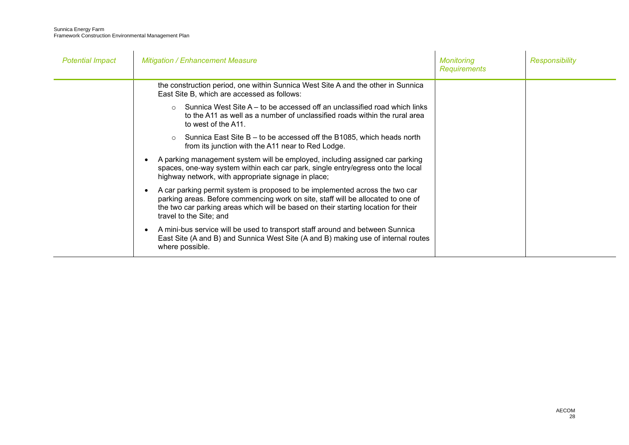| <b>Potential Impact</b> | <b>Mitigation / Enhancement Measure</b>                                                                                                                                                                                                                                           | <b>Monitoring</b><br><b>Requirements</b> | Responsibility |
|-------------------------|-----------------------------------------------------------------------------------------------------------------------------------------------------------------------------------------------------------------------------------------------------------------------------------|------------------------------------------|----------------|
|                         | the construction period, one within Sunnica West Site A and the other in Sunnica<br>East Site B, which are accessed as follows:                                                                                                                                                   |                                          |                |
|                         | $\circ$ Sunnica West Site A – to be accessed off an unclassified road which links<br>to the A11 as well as a number of unclassified roads within the rural area<br>to west of the A11.                                                                                            |                                          |                |
|                         | Sunnica East Site B – to be accessed off the B1085, which heads north<br>from its junction with the A11 near to Red Lodge.                                                                                                                                                        |                                          |                |
|                         | A parking management system will be employed, including assigned car parking<br>spaces, one-way system within each car park, single entry/egress onto the local<br>highway network, with appropriate signage in place;                                                            |                                          |                |
|                         | A car parking permit system is proposed to be implemented across the two car<br>parking areas. Before commencing work on site, staff will be allocated to one of<br>the two car parking areas which will be based on their starting location for their<br>travel to the Site; and |                                          |                |
|                         | A mini-bus service will be used to transport staff around and between Sunnica<br>East Site (A and B) and Sunnica West Site (A and B) making use of internal routes<br>where possible.                                                                                             |                                          |                |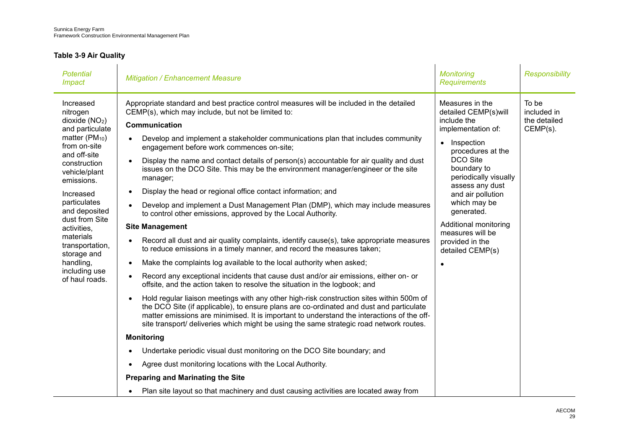## <span id="page-31-0"></span>**Table 3-9 Air Quality**

| <b>Potential</b><br><i><b>Impact</b></i>                                                                                                                                                                                                                                                                                                               | <b>Mitigation / Enhancement Measure</b>                                                                                                                                                                                                                                                                                                                                                                                                                                                                                                                                                                                                                                                                                                                                                                                                                                                                                                                                                                                                                                                                                                                                                                                                                                                                                                                                                                                                                                                                                                                                                                                                                                                                                                                                                                                                                                                | <b>Monitoring</b><br><b>Requirements</b>                                                                                                                                                                                                                                                                                                          | <b>Responsibility</b>                               |
|--------------------------------------------------------------------------------------------------------------------------------------------------------------------------------------------------------------------------------------------------------------------------------------------------------------------------------------------------------|----------------------------------------------------------------------------------------------------------------------------------------------------------------------------------------------------------------------------------------------------------------------------------------------------------------------------------------------------------------------------------------------------------------------------------------------------------------------------------------------------------------------------------------------------------------------------------------------------------------------------------------------------------------------------------------------------------------------------------------------------------------------------------------------------------------------------------------------------------------------------------------------------------------------------------------------------------------------------------------------------------------------------------------------------------------------------------------------------------------------------------------------------------------------------------------------------------------------------------------------------------------------------------------------------------------------------------------------------------------------------------------------------------------------------------------------------------------------------------------------------------------------------------------------------------------------------------------------------------------------------------------------------------------------------------------------------------------------------------------------------------------------------------------------------------------------------------------------------------------------------------------|---------------------------------------------------------------------------------------------------------------------------------------------------------------------------------------------------------------------------------------------------------------------------------------------------------------------------------------------------|-----------------------------------------------------|
| Increased<br>nitrogen<br>dioxide $(NO2)$<br>and particulate<br>matter (PM <sub>10</sub> )<br>from on-site<br>and off-site<br>construction<br>vehicle/plant<br>emissions.<br>Increased<br>particulates<br>and deposited<br>dust from Site<br>activities,<br>materials<br>transportation,<br>storage and<br>handling,<br>including use<br>of haul roads. | Appropriate standard and best practice control measures will be included in the detailed<br>CEMP(s), which may include, but not be limited to:<br>Communication<br>Develop and implement a stakeholder communications plan that includes community<br>$\bullet$<br>engagement before work commences on-site;<br>Display the name and contact details of person(s) accountable for air quality and dust<br>issues on the DCO Site. This may be the environment manager/engineer or the site<br>manager;<br>Display the head or regional office contact information; and<br>Develop and implement a Dust Management Plan (DMP), which may include measures<br>to control other emissions, approved by the Local Authority.<br><b>Site Management</b><br>Record all dust and air quality complaints, identify cause(s), take appropriate measures<br>to reduce emissions in a timely manner, and record the measures taken;<br>Make the complaints log available to the local authority when asked;<br>$\bullet$<br>Record any exceptional incidents that cause dust and/or air emissions, either on- or<br>offsite, and the action taken to resolve the situation in the logbook; and<br>Hold regular liaison meetings with any other high-risk construction sites within 500m of<br>the DCO Site (if applicable), to ensure plans are co-ordinated and dust and particulate<br>matter emissions are minimised. It is important to understand the interactions of the off-<br>site transport/ deliveries which might be using the same strategic road network routes.<br><b>Monitoring</b><br>Undertake periodic visual dust monitoring on the DCO Site boundary; and<br>٠<br>Agree dust monitoring locations with the Local Authority.<br>$\bullet$<br><b>Preparing and Marinating the Site</b><br>Plan site layout so that machinery and dust causing activities are located away from | Measures in the<br>detailed CEMP(s)will<br>include the<br>implementation of:<br>Inspection<br>$\bullet$<br>procedures at the<br><b>DCO Site</b><br>boundary to<br>periodically visually<br>assess any dust<br>and air pollution<br>which may be<br>generated.<br>Additional monitoring<br>measures will be<br>provided in the<br>detailed CEMP(s) | To be<br>included in<br>the detailed<br>$CEMP(s)$ . |
|                                                                                                                                                                                                                                                                                                                                                        |                                                                                                                                                                                                                                                                                                                                                                                                                                                                                                                                                                                                                                                                                                                                                                                                                                                                                                                                                                                                                                                                                                                                                                                                                                                                                                                                                                                                                                                                                                                                                                                                                                                                                                                                                                                                                                                                                        |                                                                                                                                                                                                                                                                                                                                                   |                                                     |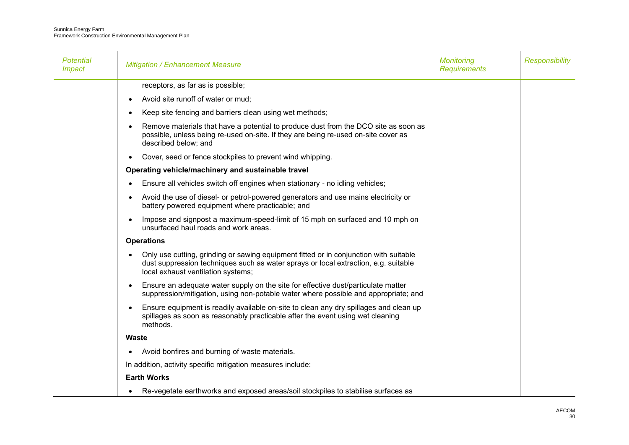| Potential<br><i><b>Impact</b></i> | <b>Mitigation / Enhancement Measure</b>                                                                                                                                                                            | <b>Monitoring</b><br><b>Requirements</b> | <b>Responsibility</b> |
|-----------------------------------|--------------------------------------------------------------------------------------------------------------------------------------------------------------------------------------------------------------------|------------------------------------------|-----------------------|
|                                   | receptors, as far as is possible;                                                                                                                                                                                  |                                          |                       |
|                                   | Avoid site runoff of water or mud;                                                                                                                                                                                 |                                          |                       |
|                                   | Keep site fencing and barriers clean using wet methods;                                                                                                                                                            |                                          |                       |
|                                   | Remove materials that have a potential to produce dust from the DCO site as soon as<br>possible, unless being re-used on-site. If they are being re-used on-site cover as<br>described below; and                  |                                          |                       |
|                                   | Cover, seed or fence stockpiles to prevent wind whipping.                                                                                                                                                          |                                          |                       |
|                                   | Operating vehicle/machinery and sustainable travel                                                                                                                                                                 |                                          |                       |
|                                   | Ensure all vehicles switch off engines when stationary - no idling vehicles;                                                                                                                                       |                                          |                       |
|                                   | Avoid the use of diesel- or petrol-powered generators and use mains electricity or<br>battery powered equipment where practicable; and                                                                             |                                          |                       |
|                                   | Impose and signpost a maximum-speed-limit of 15 mph on surfaced and 10 mph on<br>unsurfaced haul roads and work areas.                                                                                             |                                          |                       |
|                                   | <b>Operations</b>                                                                                                                                                                                                  |                                          |                       |
|                                   | Only use cutting, grinding or sawing equipment fitted or in conjunction with suitable<br>dust suppression techniques such as water sprays or local extraction, e.g. suitable<br>local exhaust ventilation systems; |                                          |                       |
|                                   | Ensure an adequate water supply on the site for effective dust/particulate matter<br>suppression/mitigation, using non-potable water where possible and appropriate; and                                           |                                          |                       |
|                                   | Ensure equipment is readily available on-site to clean any dry spillages and clean up<br>spillages as soon as reasonably practicable after the event using wet cleaning<br>methods.                                |                                          |                       |
|                                   | <b>Waste</b>                                                                                                                                                                                                       |                                          |                       |
|                                   | Avoid bonfires and burning of waste materials.                                                                                                                                                                     |                                          |                       |
|                                   | In addition, activity specific mitigation measures include:                                                                                                                                                        |                                          |                       |
|                                   | <b>Earth Works</b>                                                                                                                                                                                                 |                                          |                       |
|                                   | Re-vegetate earthworks and exposed areas/soil stockpiles to stabilise surfaces as                                                                                                                                  |                                          |                       |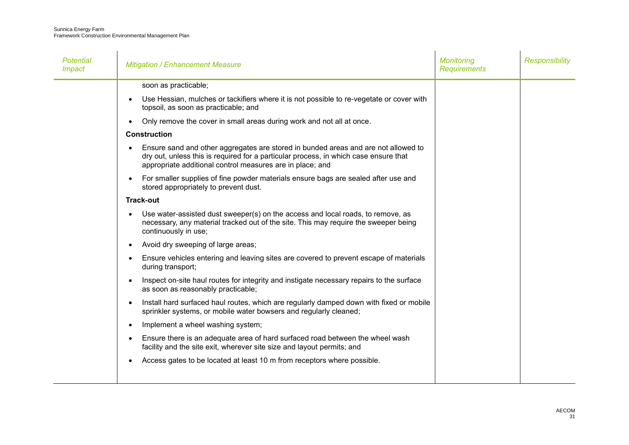| Potential<br><b>Impact</b> | <b>Mitigation / Enhancement Measure</b>                                                                                                                                                                                                              | <b>Monitoring</b><br><b>Requirements</b> | <b>Responsibility</b> |
|----------------------------|------------------------------------------------------------------------------------------------------------------------------------------------------------------------------------------------------------------------------------------------------|------------------------------------------|-----------------------|
|                            | soon as practicable;                                                                                                                                                                                                                                 |                                          |                       |
|                            | Use Hessian, mulches or tackifiers where it is not possible to re-vegetate or cover with<br>$\bullet$<br>topsoil, as soon as practicable; and                                                                                                        |                                          |                       |
|                            | Only remove the cover in small areas during work and not all at once.<br>$\bullet$                                                                                                                                                                   |                                          |                       |
|                            | <b>Construction</b>                                                                                                                                                                                                                                  |                                          |                       |
|                            | Ensure sand and other aggregates are stored in bunded areas and are not allowed to<br>$\bullet$<br>dry out, unless this is required for a particular process, in which case ensure that<br>appropriate additional control measures are in place; and |                                          |                       |
|                            | For smaller supplies of fine powder materials ensure bags are sealed after use and<br>$\bullet$<br>stored appropriately to prevent dust.                                                                                                             |                                          |                       |
|                            | <b>Track-out</b>                                                                                                                                                                                                                                     |                                          |                       |
|                            | Use water-assisted dust sweeper(s) on the access and local roads, to remove, as<br>$\bullet$<br>necessary, any material tracked out of the site. This may require the sweeper being<br>continuously in use;                                          |                                          |                       |
|                            | Avoid dry sweeping of large areas;<br>$\bullet$                                                                                                                                                                                                      |                                          |                       |
|                            | Ensure vehicles entering and leaving sites are covered to prevent escape of materials<br>$\bullet$<br>during transport;                                                                                                                              |                                          |                       |
|                            | Inspect on-site haul routes for integrity and instigate necessary repairs to the surface<br>$\bullet$<br>as soon as reasonably practicable;                                                                                                          |                                          |                       |
|                            | Install hard surfaced haul routes, which are regularly damped down with fixed or mobile<br>$\bullet$<br>sprinkler systems, or mobile water bowsers and regularly cleaned;                                                                            |                                          |                       |
|                            | Implement a wheel washing system;<br>$\bullet$                                                                                                                                                                                                       |                                          |                       |
|                            | Ensure there is an adequate area of hard surfaced road between the wheel wash<br>$\bullet$<br>facility and the site exit, wherever site size and layout permits; and                                                                                 |                                          |                       |
|                            | Access gates to be located at least 10 m from receptors where possible.<br>$\bullet$                                                                                                                                                                 |                                          |                       |
|                            |                                                                                                                                                                                                                                                      |                                          |                       |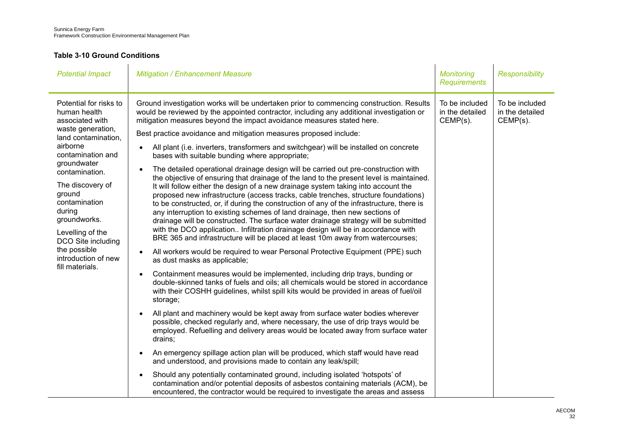### <span id="page-34-0"></span>**Table 3-10 Ground Conditions**

| <b>Potential Impact</b>                                                                                                                                                                                                                                                                                                                              | <b>Mitigation / Enhancement Measure</b>                                                                                                                                                                                                                                                                                                                                                                                                                                                                                                                                                                                                                                                                                                                                                                                                                                                                                                                                                                                                                                                                                                                                                                                                                                                                                                                                                                                                                                                                                                                                                                                                                                                                                                                                                                                                                                                                                                                                                                                                                                                                                                                                                                                                                                                                                                                           | <b>Monitoring</b><br><b>Requirements</b>         | <b>Responsibility</b>                            |
|------------------------------------------------------------------------------------------------------------------------------------------------------------------------------------------------------------------------------------------------------------------------------------------------------------------------------------------------------|-------------------------------------------------------------------------------------------------------------------------------------------------------------------------------------------------------------------------------------------------------------------------------------------------------------------------------------------------------------------------------------------------------------------------------------------------------------------------------------------------------------------------------------------------------------------------------------------------------------------------------------------------------------------------------------------------------------------------------------------------------------------------------------------------------------------------------------------------------------------------------------------------------------------------------------------------------------------------------------------------------------------------------------------------------------------------------------------------------------------------------------------------------------------------------------------------------------------------------------------------------------------------------------------------------------------------------------------------------------------------------------------------------------------------------------------------------------------------------------------------------------------------------------------------------------------------------------------------------------------------------------------------------------------------------------------------------------------------------------------------------------------------------------------------------------------------------------------------------------------------------------------------------------------------------------------------------------------------------------------------------------------------------------------------------------------------------------------------------------------------------------------------------------------------------------------------------------------------------------------------------------------------------------------------------------------------------------------------------------------|--------------------------------------------------|--------------------------------------------------|
| Potential for risks to<br>human health<br>associated with<br>waste generation,<br>land contamination,<br>airborne<br>contamination and<br>groundwater<br>contamination.<br>The discovery of<br>ground<br>contamination<br>during<br>groundworks.<br>Levelling of the<br>DCO Site including<br>the possible<br>introduction of new<br>fill materials. | Ground investigation works will be undertaken prior to commencing construction. Results<br>would be reviewed by the appointed contractor, including any additional investigation or<br>mitigation measures beyond the impact avoidance measures stated here.<br>Best practice avoidance and mitigation measures proposed include:<br>All plant (i.e. inverters, transformers and switchgear) will be installed on concrete<br>bases with suitable bunding where appropriate;<br>The detailed operational drainage design will be carried out pre-construction with<br>the objective of ensuring that drainage of the land to the present level is maintained.<br>It will follow either the design of a new drainage system taking into account the<br>proposed new infrastructure (access tracks, cable trenches, structure foundations)<br>to be constructed, or, if during the construction of any of the infrastructure, there is<br>any interruption to existing schemes of land drainage, then new sections of<br>drainage will be constructed. The surface water drainage strategy will be submitted<br>with the DCO application Infiltration drainage design will be in accordance with<br>BRE 365 and infrastructure will be placed at least 10m away from watercourses;<br>All workers would be required to wear Personal Protective Equipment (PPE) such<br>as dust masks as applicable;<br>Containment measures would be implemented, including drip trays, bunding or<br>double-skinned tanks of fuels and oils; all chemicals would be stored in accordance<br>with their COSHH guidelines, whilst spill kits would be provided in areas of fuel/oil<br>storage;<br>All plant and machinery would be kept away from surface water bodies wherever<br>possible, checked regularly and, where necessary, the use of drip trays would be<br>employed. Refuelling and delivery areas would be located away from surface water<br>drains;<br>An emergency spillage action plan will be produced, which staff would have read<br>and understood, and provisions made to contain any leak/spill;<br>Should any potentially contaminated ground, including isolated 'hotspots' of<br>contamination and/or potential deposits of asbestos containing materials (ACM), be<br>encountered, the contractor would be required to investigate the areas and assess | To be included<br>in the detailed<br>$CEMP(s)$ . | To be included<br>in the detailed<br>$CEMP(s)$ . |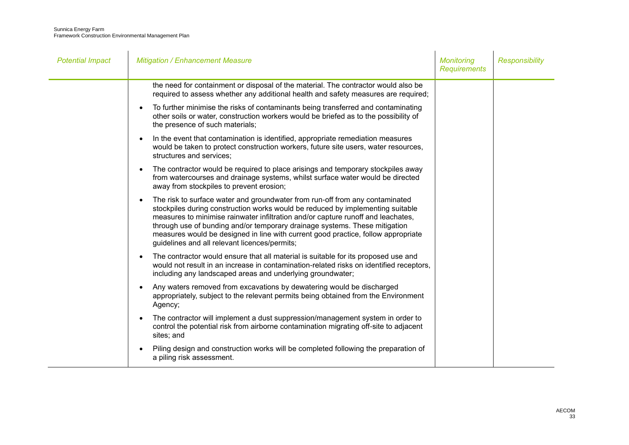| <b>Potential Impact</b> | <b>Mitigation / Enhancement Measure</b>                                                                                                                                                                                                                                                                                                                                                                                                                                | <b>Monitoring</b><br><b>Requirements</b> | <b>Responsibility</b> |
|-------------------------|------------------------------------------------------------------------------------------------------------------------------------------------------------------------------------------------------------------------------------------------------------------------------------------------------------------------------------------------------------------------------------------------------------------------------------------------------------------------|------------------------------------------|-----------------------|
|                         | the need for containment or disposal of the material. The contractor would also be<br>required to assess whether any additional health and safety measures are required;                                                                                                                                                                                                                                                                                               |                                          |                       |
|                         | To further minimise the risks of contaminants being transferred and contaminating<br>other soils or water, construction workers would be briefed as to the possibility of<br>the presence of such materials;                                                                                                                                                                                                                                                           |                                          |                       |
|                         | In the event that contamination is identified, appropriate remediation measures<br>would be taken to protect construction workers, future site users, water resources,<br>structures and services;                                                                                                                                                                                                                                                                     |                                          |                       |
|                         | The contractor would be required to place arisings and temporary stockpiles away<br>$\bullet$<br>from watercourses and drainage systems, whilst surface water would be directed<br>away from stockpiles to prevent erosion;                                                                                                                                                                                                                                            |                                          |                       |
|                         | The risk to surface water and groundwater from run-off from any contaminated<br>stockpiles during construction works would be reduced by implementing suitable<br>measures to minimise rainwater infiltration and/or capture runoff and leachates,<br>through use of bunding and/or temporary drainage systems. These mitigation<br>measures would be designed in line with current good practice, follow appropriate<br>guidelines and all relevant licences/permits; |                                          |                       |
|                         | The contractor would ensure that all material is suitable for its proposed use and<br>would not result in an increase in contamination-related risks on identified receptors,<br>including any landscaped areas and underlying groundwater;                                                                                                                                                                                                                            |                                          |                       |
|                         | Any waters removed from excavations by dewatering would be discharged<br>appropriately, subject to the relevant permits being obtained from the Environment<br>Agency;                                                                                                                                                                                                                                                                                                 |                                          |                       |
|                         | The contractor will implement a dust suppression/management system in order to<br>control the potential risk from airborne contamination migrating off-site to adjacent<br>sites; and                                                                                                                                                                                                                                                                                  |                                          |                       |
|                         | Piling design and construction works will be completed following the preparation of<br>a piling risk assessment.                                                                                                                                                                                                                                                                                                                                                       |                                          |                       |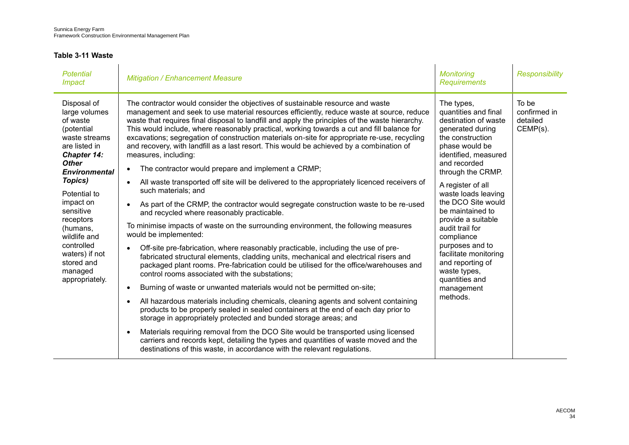### <span id="page-36-0"></span>**Table 3-11 Waste**

| <b>Potential</b><br><i><b>Impact</b></i>                                                                                                                                                                                                                                                                                 | <b>Mitigation / Enhancement Measure</b>                                                                                                                                                                                                                                                                                                                                                                                                                                                                                                                                                                                                                                                                                                                                                   | <b>Monitoring</b><br><b>Requirements</b>                                                                                                                                                                                                            | <b>Responsibility</b>                            |
|--------------------------------------------------------------------------------------------------------------------------------------------------------------------------------------------------------------------------------------------------------------------------------------------------------------------------|-------------------------------------------------------------------------------------------------------------------------------------------------------------------------------------------------------------------------------------------------------------------------------------------------------------------------------------------------------------------------------------------------------------------------------------------------------------------------------------------------------------------------------------------------------------------------------------------------------------------------------------------------------------------------------------------------------------------------------------------------------------------------------------------|-----------------------------------------------------------------------------------------------------------------------------------------------------------------------------------------------------------------------------------------------------|--------------------------------------------------|
| Disposal of<br>large volumes<br>of waste<br>(potential<br>waste streams<br>are listed in<br>Chapter 14:<br><b>Other</b><br><b>Environmental</b><br>Topics)<br>Potential to<br>impact on<br>sensitive<br>receptors<br>(humans,<br>wildlife and<br>controlled<br>waters) if not<br>stored and<br>managed<br>appropriately. | The contractor would consider the objectives of sustainable resource and waste<br>management and seek to use material resources efficiently, reduce waste at source, reduce<br>waste that requires final disposal to landfill and apply the principles of the waste hierarchy.<br>This would include, where reasonably practical, working towards a cut and fill balance for<br>excavations; segregation of construction materials on-site for appropriate re-use, recycling<br>and recovery, with landfill as a last resort. This would be achieved by a combination of<br>measures, including:<br>The contractor would prepare and implement a CRMP;<br>$\bullet$<br>All waste transported off site will be delivered to the appropriately licenced receivers of<br>such materials: and | The types,<br>quantities and final<br>destination of waste<br>generated during<br>the construction<br>phase would be<br>identified, measured<br>and recorded<br>through the CRMP.<br>A register of all<br>waste loads leaving<br>the DCO Site would | To be<br>confirmed in<br>detailed<br>$CEMP(s)$ . |
|                                                                                                                                                                                                                                                                                                                          | As part of the CRMP, the contractor would segregate construction waste to be re-used<br>and recycled where reasonably practicable.<br>To minimise impacts of waste on the surrounding environment, the following measures                                                                                                                                                                                                                                                                                                                                                                                                                                                                                                                                                                 | be maintained to<br>provide a suitable<br>audit trail for                                                                                                                                                                                           |                                                  |
|                                                                                                                                                                                                                                                                                                                          | would be implemented:<br>Off-site pre-fabrication, where reasonably practicable, including the use of pre-<br>fabricated structural elements, cladding units, mechanical and electrical risers and<br>packaged plant rooms. Pre-fabrication could be utilised for the office/warehouses and<br>control rooms associated with the substations;                                                                                                                                                                                                                                                                                                                                                                                                                                             | compliance<br>purposes and to<br>facilitate monitoring<br>and reporting of<br>waste types,<br>quantities and                                                                                                                                        |                                                  |
|                                                                                                                                                                                                                                                                                                                          | Burning of waste or unwanted materials would not be permitted on-site;<br>$\bullet$                                                                                                                                                                                                                                                                                                                                                                                                                                                                                                                                                                                                                                                                                                       | management                                                                                                                                                                                                                                          |                                                  |
|                                                                                                                                                                                                                                                                                                                          | All hazardous materials including chemicals, cleaning agents and solvent containing<br>products to be properly sealed in sealed containers at the end of each day prior to<br>storage in appropriately protected and bunded storage areas; and                                                                                                                                                                                                                                                                                                                                                                                                                                                                                                                                            | methods.                                                                                                                                                                                                                                            |                                                  |
|                                                                                                                                                                                                                                                                                                                          | Materials requiring removal from the DCO Site would be transported using licensed<br>carriers and records kept, detailing the types and quantities of waste moved and the<br>destinations of this waste, in accordance with the relevant regulations.                                                                                                                                                                                                                                                                                                                                                                                                                                                                                                                                     |                                                                                                                                                                                                                                                     |                                                  |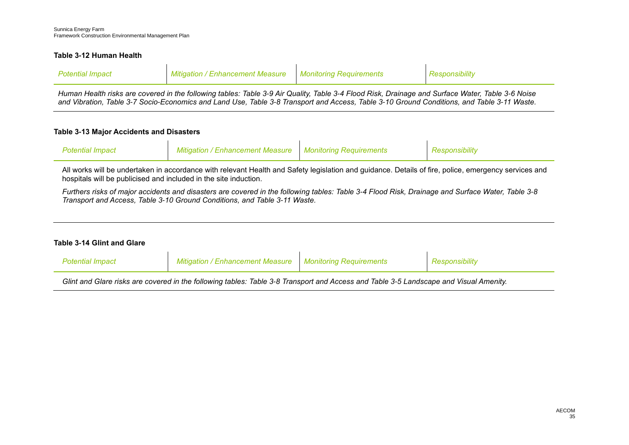#### **Table 3-12 Human Health**

| Potentiai impact | ' Fnhancement Measure<br>Mitiaation All | — Monitorina Reaurrements |  |
|------------------|-----------------------------------------|---------------------------|--|
|                  |                                         |                           |  |

*Human Health risks are covered in the following tables: Table 3-9 [Air Quality,](#page-31-0) Table 3-4 [Flood Risk, Drainage and Surface Water,](#page-17-0) [Table 3-6](#page-26-0) Noise [and Vibration,](#page-26-0) Table 3-7 [Socio-Economics and Land Use,](#page-28-0) Table 3-8 [Transport and Access,](#page-29-0) Table 3-10 [Ground Conditions,](#page-34-0) and [Table 3-11](#page-36-0) Waste.*

#### **Table 3-13 Major Accidents and Disasters**

| <sup>o</sup> otential Impact | Mitigation / Enhancement Measure   Monitoring Requirements | <i><b>RESDONSIDIIItV</b></i> |
|------------------------------|------------------------------------------------------------|------------------------------|
|                              |                                                            |                              |

All works will be undertaken in accordance with relevant Health and Safety legislation and guidance. Details of fire, police, emergency services and hospitals will be publicised and included in the site induction.

*Furthers risks of major accidents and disasters are covered in the following tables: Table 3-4 [Flood Risk, Drainage and Surface Water,](#page-17-0) [Table 3-8](#page-29-0) [Transport and Access,](#page-29-0) Table 3-10 [Ground Conditions,](#page-34-0) and [Table 3-11](#page-36-0) Waste.*

#### **Table 3-14 Glint and Glare**

| <b>Potential Impact</b> | <b>Mitigation / Enhancement Measure   Monitoring Requirements</b>                                                                     | Responsibility |
|-------------------------|---------------------------------------------------------------------------------------------------------------------------------------|----------------|
|                         | Glint and Glare risks are covered in the following tables: Table 3-8 Transport and Access and Table 3-5 Landscape and Visual Amenity. |                |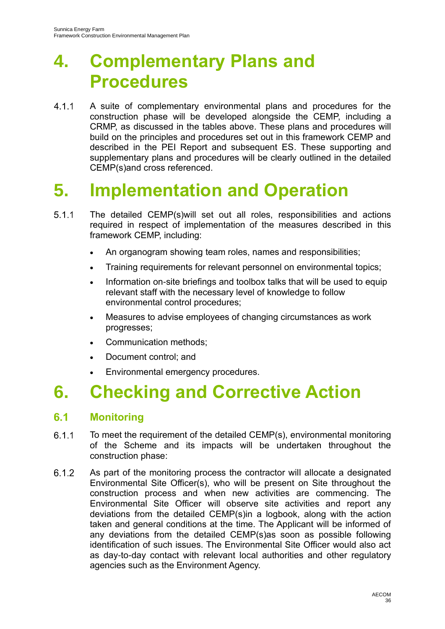# **4. Complementary Plans and Procedures**

 $4.1.1$ A suite of complementary environmental plans and procedures for the construction phase will be developed alongside the CEMP, including a CRMP, as discussed in the tables above. These plans and procedures will build on the principles and procedures set out in this framework CEMP and described in the PEI Report and subsequent ES. These supporting and supplementary plans and procedures will be clearly outlined in the detailed CEMP(s)and cross referenced.

## **5. Implementation and Operation**

- $5.1.1$ The detailed CEMP(s)will set out all roles, responsibilities and actions required in respect of implementation of the measures described in this framework CEMP, including:
	- An organogram showing team roles, names and responsibilities;
	- Training requirements for relevant personnel on environmental topics;
	- Information on-site briefings and toolbox talks that will be used to equip relevant staff with the necessary level of knowledge to follow environmental control procedures;
	- Measures to advise employees of changing circumstances as work progresses;
	- Communication methods;
	- Document control; and
	- Environmental emergency procedures.

## **6. Checking and Corrective Action**

#### $6.1$ **Monitoring**

- $6.1.1$ To meet the requirement of the detailed CEMP(s), environmental monitoring of the Scheme and its impacts will be undertaken throughout the construction phase:
- $6.1.2$ As part of the monitoring process the contractor will allocate a designated Environmental Site Officer(s), who will be present on Site throughout the construction process and when new activities are commencing. The Environmental Site Officer will observe site activities and report any deviations from the detailed CEMP(s)in a logbook, along with the action taken and general conditions at the time. The Applicant will be informed of any deviations from the detailed CEMP(s)as soon as possible following identification of such issues. The Environmental Site Officer would also act as day-to-day contact with relevant local authorities and other regulatory agencies such as the Environment Agency.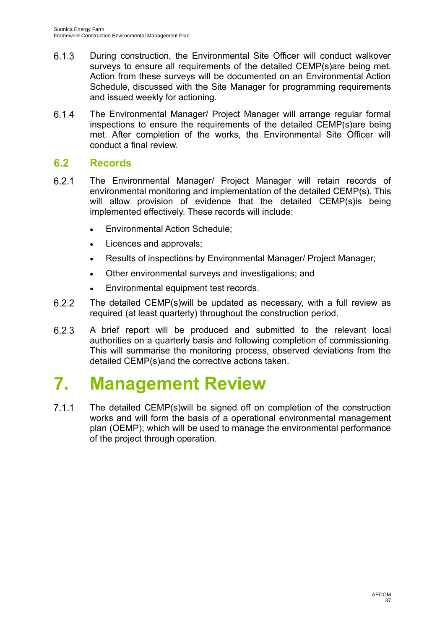- $6.1.3$ During construction, the Environmental Site Officer will conduct walkover surveys to ensure all requirements of the detailed CEMP(s)are being met. Action from these surveys will be documented on an Environmental Action Schedule, discussed with the Site Manager for programming requirements and issued weekly for actioning.
- The Environmental Manager/ Project Manager will arrange regular formal  $6.1.4$ inspections to ensure the requirements of the detailed CEMP(s)are being met. After completion of the works, the Environmental Site Officer will conduct a final review.

#### $6.2$ **Records**

- $6.2.1$ The Environmental Manager/ Project Manager will retain records of environmental monitoring and implementation of the detailed CEMP(s). This will allow provision of evidence that the detailed CEMP(s)is being implemented effectively. These records will include:
	- Environmental Action Schedule;
	- Licences and approvals;
	- Results of inspections by Environmental Manager/ Project Manager;
	- Other environmental surveys and investigations; and
	- Environmental equipment test records.
- The detailed CEMP(s)will be updated as necessary, with a full review as  $6.2.2$ required (at least quarterly) throughout the construction period.
- A brief report will be produced and submitted to the relevant local 6.2.3 authorities on a quarterly basis and following completion of commissioning. This will summarise the monitoring process, observed deviations from the detailed CEMP(s)and the corrective actions taken.

## **7. Management Review**

 $7.1.1$ The detailed CEMP(s)will be signed off on completion of the construction works and will form the basis of a operational environmental management plan (OEMP); which will be used to manage the environmental performance of the project through operation.